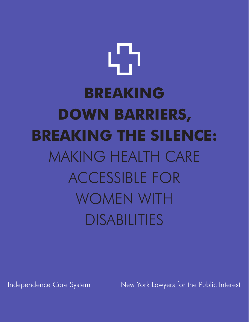# ל 1 **BREAKING DOWN BARRIERS, BREAKING THE SILENCE:** MAKING HEALTH CARE ACCESSIBLE FOR WOMEN WITH DISABILITIES

Independence Care System New York Lawyers for the Public Interest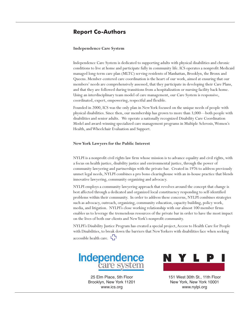# **Report Co-Authors**

### **Independence Care System**

Independence Care System is dedicated to supporting adults with physical disabilities and chronic conditions to live at home and participate fully in community life. ICS operates a nonprofit Medicaid managed long-term care plan (MLTC) serving residents of Manhattan, Brooklyn, the Bronx and Queens. Member-centered care coordination is the heart of our work, aimed at ensuring that our members' needs are comprehensively assessed, that they participate in developing their Care Plans, and that they are followed during transitions from a hospitalization or nursing facility back home. Using an interdisciplinary team model of care management, our Care System is responsive, coordinated, expert, empowering, respectful and flexible.

Founded in 2000, ICS was the only plan in NewYork focused on the unique needs of people with physical disabilities. Since then, our membership has grown to more than 3,000—both people with disabilities and senior adults. We operate a nationally recognized Disability Care Coordination Model and award-winning specialized care management programs in Multiple Sclerosis,Women's Health, andWheelchair Evaluation and Support.

### **NewYork Lawyers for the Public Interest**

NYLPI is a nonprofit civil rights law firm whose mission is to advance equality and civil rights, with a focus on health justice, disability justice and environmental justice, through the power of community lawyering and partnerships with the private bar. Created in 1976 to address previously unmet legal needs, NYLPI combines a pro bono clearinghouse with an in-house practice that blends innovative lawyering, community organizing and advocacy.

NYLPI employs a community lawyering approach that revolves around the concept that change is best affected through a dedicated and organized local constituency responding to self-identified problems within their community. In order to address these concerns, NYLPI combines strategies such as advocacy, outreach, organizing, community education, capacity building, policy work, media, and litigation. NYLPI's close working relationship with our almost 100 member firms enables us to leverage the tremendous resources of the private bar in order to have the most impact on the lives of both our clients and NewYork's nonprofit community.

NYLPI's Disability Justice Program has created a special project,Access to Health Care for People with Disabilities, to break down the barriers that NewYorkers with disabilities face when seeking accessible health care.  $\mathbf{L}$ 



25 Elm Place, 5th Floor Brooklyn, New York 11201 www.ics.org



151 West 30th St., 11th Floor New York, New York 10001 www.nylpi.org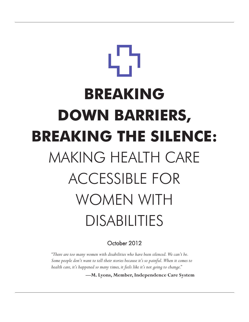# **BREAKING DOWN BARRIERS, BREAKING THE SILENCE:** MAKING HEALTH CARE ACCESSIBLE FOR WOMEN WITH DISABILITIES

October 2012

*"There are too many women with disabilities who have been silenced. We can't be. Some people don't want to tell their stories because it's so painful. When it comes to health care, it's happened so many times, it feels like it's not going to change."*

**—M. Lyons, Member, Independence Care System**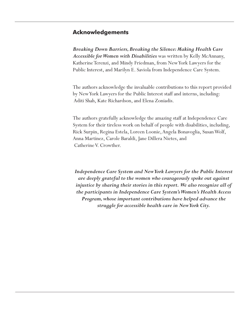# **Acknowledgements**

*Breaking Down Barriers, Breaking the Silence: Making Health Care Accessible for Women with Disabilities* was written by Kelly McAnnany, Katherine Terenzi, and Mindy Friedman, from New York Lawyers for the Public Interest, and Marilyn E. Saviola from Independence Care System.

The authors acknowledge the invaluable contributions to this report provided by New York Lawyers for the Public Interest staff and interns, including: Aditi Shah, Kate Richardson, and Elena Zoniadis.

The authors gratefully acknowledge the amazing staff at Independence Care System for their tireless work on behalf of people with disabilities, including, Rick Surpin, Regina Estela, Loreen Loonie, Angela Bonavoglia, Susan Wolf, Anna Martinez, Carole Baraldi, Jane Dillera Nietes, and Catherine V. Crowther.

*Independence Care System and New York Lawyers for the Public Interest are deeply grateful to the women who courageously spoke out against injustice by sharing their stories in this report. We also recognize all of the participants in Independence Care System's Women's Health Access Program, whose important contributions have helped advance the struggle for accessible health care in New York City.*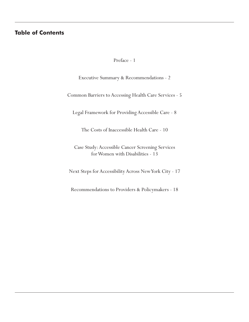# **Table of Contents**

Preface - 1

Executive Summary & Recommendations - 2

Common Barriers to Accessing Health Care Services - 5

Legal Framework for Providing Accessible Care - 8

The Costs of Inaccessible Health Care - 10

Case Study: Accessible Cancer Screening Services for Women with Disabilities - 13

Next Steps for Accessibility Across New York City - 17

Recommendations to Providers & Policymakers - 18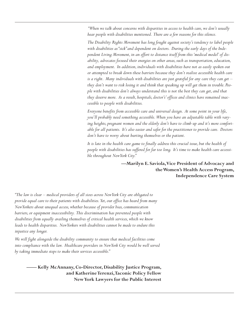*"When we talk about concerns with disparities in access to health care, we don't usually hear people with disabilities mentioned. There are a few reasons for this silence.*

*The Disability Rights Movement has long fought against society's tendency to label people with disabilities as "sick" and dependent on doctors. During the early days of the Independent Living Movement, in an effort to distance itself from this 'medical model' of disability, advocates focused their energies on other areas, such as transportation, education, and employment. In addition, individuals with disabilities have not as easily spoken out or attempted to break down these barriers because they don't realize accessible health care is a right. Many individuals with disabilities are just grateful for any care they can get – they don't want to risk losing it and think that speaking up will get them in trouble. People with disabilities don't always understand this is not the best they can get, and that they deserve more. As a result, hospitals, doctor's' offices and clinics have remained inaccessible to people with disabilities.* 

*Everyone benefits from accessible care and universal design. At some point in your life, you'll probably need something accessible. When you have an adjustable table with varying heights, pregnant women and the elderly don't have to climb up and it's more comfortable for all patients. It's also easier and safer for the practitioner to provide care. Doctors don't have to worry about hurting themselves or the patient.* 

*It is late in the health care game to finally address this crucial issue, but the health of people with disabilities has suffered for far too long. It's time to make health care accessible throughout New York City."*

> **—Marilyn E. Saviola, Vice President of Advocacy and the Women's Health Access Program, Independence Care System**

*"The law is clear – medical providers of all sizes across New York City are obligated to provide equal care to their patients with disabilities. Yet, our office has heard from many New Yorkers about unequal access, whether because of provider bias, communication barriers, or equipment inaccessibility. This discrimination has prevented people with disabilities from equally availing themselves of critical health services, which we know leads to health disparities. New Yorkers with disabilities cannot be made to endure this injustice any longer.* 

*We will fight alongside the disability community to ensure that medical facilities come into compliance with the law. Healthcare providers in New York City would be well served by taking immediate steps to make their services accessible."* 

> Kelly McAnnany, Co-Director, Disability Justice Program, **and Katherine Terenzi, Taconic Policy Fellow New York Lawyers for the Public Interest**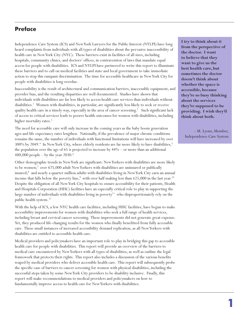# **Preface**

Independence Care System (ICS) and New York Lawyers for the Public Interest (NYLPI) have long heard complaints from individuals with all types of disabilities about the pervasive inaccessibility of health care in New York City (NYC). These barriers exist in facilities of all sizes, including hospitals, community clinics, and doctors' offices, in contravention of laws that mandate equal access for people with disabilities. ICS and NYLPI have partnered to write this report to illuminate these barriers and to call on medical facilities and state and local government to take immediate action to stop this rampant discrimination. The time for accessible healthcare in New York City for people with disabilities is long overdue.

Inaccessibility is the result of architectural and communication barriers, inaccessible equipment, and provider bias, and the resulting disparities are well documented. Studies have shown that individuals with disabilities are far less likely to access health care services than individuals without disabilities.<sup>1</sup> Women with disabilities, in particular, are significantly less likely to seek or receive quality health care in a timely way, especially in the area of cancer screening.<sup>2</sup> Such significant lack of access to critical services leads to poorer health outcomes for women with disabilities, including higher mortality rates.<sup>3</sup>

The need for accessible care will only increase in the coming years as the baby boom generation ages and life expectancy rates lengthen. Nationally, if the prevalence of major chronic conditions remains the same, the number of individuals with functional limitations will have increased by over 300% by 2049.<sup>4</sup> In New York City, where elderly residents are far more likely to have disabilities,<sup>5</sup> the population over the age of 65 is projected to increase by 44% – or more than an additional 400,000 people – by the year  $2030.^6$ 

Other demographic trends in New York are significant: New Yorkers with disabilities are more likely to be women;<sup>7</sup> over 675,000 adult New Yorkers with disabilities are uninsured or publically insured;<sup>8</sup> and nearly a quarter million adults with disabilities living in New York City earn an annual income that falls below the poverty line,<sup>9</sup> with over half making less than \$25,000 in the last year.<sup>10</sup> Despite the obligation of all New York City hospitals to ensure accessibility for their patients, Health and Hospitals Corporation (HHC) facilities have an especially critical role to play in supporting the large number of individuals with disabilities living in poverty<sup>11</sup> who disproportionately rely on the public health system.<sup>12</sup>

With the help of ICS, a few NYC health care facilities, including HHC facilities, have begun to make accessibility improvements for women with disabilities who seek a full range of health services, including breast and cervical cancer screening. These improvements did not generate great expense. Yet, they produced life-changing results for the women who finally benefitted from fully accessible care. These small instances of increased accessibility demand replication, as all New Yorkers with disabilities are entitled to accessible health care.

Medical providers and policymakers have an important role to play in bridging this gap to accessible health care for people with disabilities. This report will provide an overview of the barriers to medical care encountered by New Yorkers with all types of disabilities, as well as outline the legal framework that protects their rights. This report also includes a discussion of the various benefits reaped by medical providers who deliver accessible health care. This report will subsequently probe the specific case of barriers to cancer screening for women with physical disabilities, including the successful steps taken by some New York City providers to be disability inclusive. Finally, this report will make recommendations to medical providers and policymakers on how to fundamentally improve access to health care for New Yorkers with disabilities.

**I try to think about it from the perspective of the doctor. I want to believe that they want to give us the best health care, but sometimes the doctor doesn't think about whether the space is accessible, because they're so busy thinking about the services they're supposed to be providing. I wish they'd think about both.**

– M. Lyons, Member, Independence Care System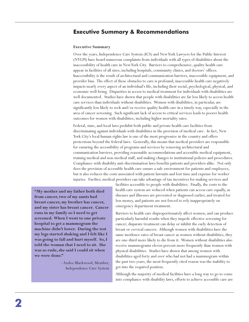# **Executive Summary & Recommendations**

# **Executive Summary**

Over the years, Independence Care System (ICS) and New York Lawyers for the Public Interest (NYLPI) have heard numerous complaints from individuals with all types of disabilities about the inaccessibility of health care in New York City. Barriers to comprehensive, quality health care appear in facilities of all sizes, including hospitals, community clinics, and doctors' offices. Inaccessibility is the result of architectural and communication barriers, inaccessible equipment, and provider bias. The effect of these obstacles to care is profound; inaccessible health care negatively impacts nearly every aspect of an individual's life, including their social, psychological, physical, and economic well-being. Disparities in access to medical treatment for individuals with disabilities are well documented. Studies have shown that people with disabilities are far less likely to access health care services than individuals without disabilities. Women with disabilities, in particular, are significantly less likely to seek and/or receive quality health care in a timely way, especially in the area of cancer screening. Such significant lack of access to critical services leads to poorer health outcomes for women with disabilities, including higher mortality rates.

Federal, state, and local laws prohibit both public and private health care facilities from discriminating against individuals with disabilities in the provision of medical care. In fact, New York City's local human rights law is one of the most progressive in the country and offers protections beyond the federal laws. Generally, this means that medical providers are responsible for ensuring the accessibility of programs and services by removing architectural and communication barriers, providing reasonable accommodations and accessible medical equipment, training medical and non-medical staff, and making changes to institutional policies and procedures. Compliance with disability anti-discrimination laws benefits patients and providers alike. Not only does the provision of accessible health care ensure a safe environment for patients and employees, but it also reduces the costs associated with patient lawsuits and lost time and expense for worker injuries. Further, medical providers can take advantage of tax incentives for making services and

**"My mother and my father both died from cancer, two of my aunts had breast cancer, my brother has cancer, and my sister has breast cancer. Cancer runs in my family so I need to get screened. When I went to one private hospital to get a mammogram the machine didn't lower. During the test my legs started shaking and I felt like I was going to fall and hurt myself. So, I told the woman that I need to sit. She was so rude, she said I could sit when we were done."** 

> – Azzlee Blackwood, Member, Independence Care System

facilities accessible to people with disabilities. Finally, the costs to the health care system are reduced when patients can access care equally, as diseases and illnesses are prevented or diagnosed earlier, and treated for less money, and patients are not forced to rely inappropriately on emergency department treatment.

Barriers to health care disproportionately affect women, and can produce particularly harmful results when they impede effective screening for cancer; disparate treatment can delay or inhibit the early detection of breast or cervical cancers. Although women with disabilities have the same incidence rates of breast cancer as women without disabilities, they are one-third more likely to die from it. Women without disabilities also receive mammograms eleven percent more frequently than women with physical disabilities. Studies have shown that among women with disabilities aged forty and over who had not had a mammogram within the past two years, the most frequently cited reason was the inability to get into the required position.

Although the majority of medical facilities have a long way to go to come into compliance with disability laws, efforts to achieve accessible care are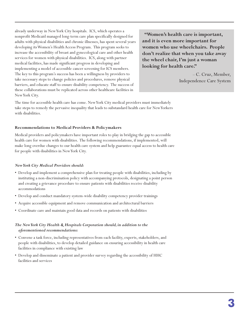already underway in New York City hospitals. ICS, which operates a nonprofit Medicaid managed long-term care plan specifically designed for adults with physical disabilities and chronic illnesses, has spent several years developing its Women's Health Access Program. This program seeks to increase the accessibility of breast and gynecological care and other health services for women with physical disabilities. ICS, along with partner medical facilities, has made significant progress in developing and implementing a model of accessible cancer screening for ICS members. The key to this program's success has been a willingness by providers to take necessary steps to change policies and procedures, remove physical barriers, and educate staff to ensure disability competency. The success of these collaborations must be replicated across other healthcare facilities in New York City.

**"Women's health care is important, and it is even more important for women who use wheelchairs. People don't realize that when you take away the wheel chair, I'm just a woman looking for health care."**

> – C. Cruz, Member, Independence Care System

The time for accessible health care has come. New York City medical providers must immediately take steps to remedy the pervasive inequality that leads to substandard health care for New Yorkers with disabilities.

# **Recommendations to Medical Providers & Policymakers**

Medical providers and policymakers have important roles to play in bridging the gap to accessible health care for women with disabilities. The following recommendations, if implemented, will make long overdue changes to our health care system and help guarantee equal access to health care for people with disabilities in New York City.

# *New York City Medical Providers should:*

- Develop and implement a comprehensive plan for treating people with disabilities, including by instituting a non-discrimination policy with accompanying protocols, designating a point person and creating a grievance procedure to ensure patients with disabilities receive disability accommodations
- Develop and conduct mandatory system-wide disability competency provider trainings
- Acquire accessible equipment and remove communication and architectural barriers
- Coordinate care and maintain good data and records on patients with disabilities

# *The New York City Health & Hospitals Corporation should, in addition to the aforementioned recommendations:*

- Convene a task force, including representatives from each facility, experts, stakeholders, and people with disabilities, to develop detailed guidance on ensuring accessibility in health care facilities in compliance with existing law
- Develop and disseminate a patient and provider survey regarding the accessibility of HHC facilities and services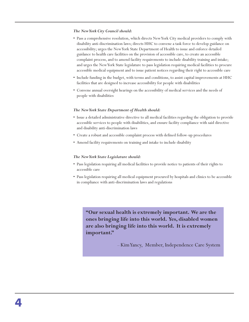### *The New York City Council should:*

- Pass a comprehensive resolution, which directs New York City medical providers to comply with disability anti-discrimination laws; directs HHC to convene a task force to develop guidance on accessibility; urges the New York State Department of Health to issue and enforce detailed guidance to health care facilities on the provision of accessible care, to create an accessible complaint process, and to amend facility requirements to include disability training and intake; and urges the New York State legislature to pass legislation requiring medical facilities to procure accessible medical equipment and to issue patient notices regarding their right to accessible care
- Include funding in the budget, with terms and conditions, to assist capital improvements at HHC facilities that are designed to increase accessibility for people with disabilities
- Convene annual oversight hearings on the accessibility of medical services and the needs of people with disabilities

## *The New York State Department of Health should:*

- Issue a detailed administrative directive to all medical facilities regarding the obligation to provide accessible services to people with disabilities, and ensure facility compliance with said directive and disability anti-discrimination laws
- Create a robust and accessible complaint process with defined follow-up procedures
- Amend facility requirements on training and intake to include disability

## *The New York State Legislature should:*

- Pass legislation requiring all medical facilities to provide notice to patients of their rights to accessible care
- Pass legislation requiring all medical equipment procured by hospitals and clinics to be accessible in compliance with anti-discrimination laws and regulations

**"Our sexual health is extremely important. We are the ones bringing life into this world. Yes, disabled women are also bringing life into this world. It is extremely important."** 

– Kim Yancy, Member, Independence Care System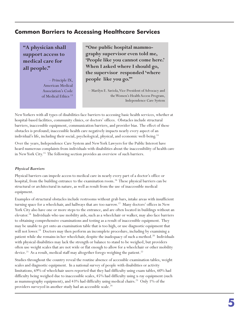# **Common Barriers to Accessing Healthcare Services**

**"A physician shall support access to medical care for all people."** 

> – Principle IX, American Medical Association's Code of Medical Ethics<sup>13</sup>

**"One public hospital mammography supervisor even told me, 'People like you cannot come here.' When I asked where I should go, the supervisor responded 'where people like you go.'"**

– Marilyn E. Saviola, Vice President of Advocacy and the Women's Health Access Program, Independence Care System

New Yorkers with all types of disabilities face barriers to accessing basic health services, whether at hospital-based facilities, community clinics, or doctors' offices. Obstacles include structural barriers, inaccessible equipment, communication barriers, and provider bias. The effect of these obstacles is profound; inaccessible health care negatively impacts nearly every aspect of an individual's life, including their social, psychological, physical, and economic well-being.<sup>14</sup>

Over the years, Independence Care System and New York Lawyers for the Public Interest have heard numerous complaints from individuals with disabilities about the inaccessibility of health care in New York City.<sup>15</sup> The following section provides an overview of such barriers.

# *Physical Barriers*

Physical barriers can impede access to medical care in nearly every part of a doctor's office or hospital, from the building entrance to the examination room.<sup>16</sup> These physical barriers can be structural or architectural in nature, as well as result from the use of inaccessible medical equipment.

Examples of structural obstacles include restrooms without grab bars, intake areas with insufficient turning space for a wheelchair, and hallways that are too narrow.<sup>17</sup> Many doctors' offices in New York City also have one or more steps to the entrance, and are often located in buildings without an elevator.<sup>18</sup> Individuals who use mobility aids, such as a wheelchair or walker, may also face barriers to obtaining comprehensive examinations and testing as a result of inaccessible equipment. They may be unable to get onto an examination table that is too high, or use diagnostic equipment that will not lower.<sup>19</sup> Doctors may then perform an incomplete procedure, including by examining a patient while she remains in her wheelchair, despite the inadequacy of such a method.<sup>20</sup> Individuals with physical disabilities may lack the strength or balance to stand to be weighed, but providers often use weight scales that are not wide or flat enough to allow for a wheelchair or other mobility device.<sup>21</sup> As a result, medical staff may altogether forego weighing the patient.<sup>22</sup>

Studies throughout the country reveal the routine absence of accessible examination tables, weight scales and diagnostic equipment. In a national survey of people with disabilities or activity limitations, 69% of wheelchair users reported that they had difficulty using exam tables, 60% had difficulty being weighed due to inaccessible scales, 45% had difficulty using x-ray equipment (such as mammography equipment), and 43% had difficulty using medical chairs.<sup>23</sup> Only 1% of the providers surveyed in another study had an accessible scale.<sup>24</sup>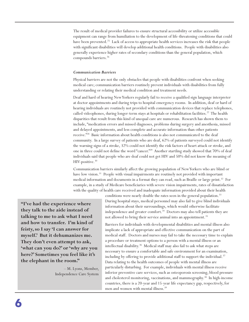The result of medical provider failures to ensure structural accessibility or utilize accessible equipment can range from humiliation to the development of life-threatening conditions that could have been prevented.<sup>25</sup> Lack of access to appropriate health services increases the risk that people with significant disabilities will develop additional health conditions. People with disabilities also generally experience higher rates of secondary conditions than the general population, which compounds barriers.<sup>26</sup>

## *Communication Barriers*

Physical barriers are not the only obstacles that people with disabilities confront when seeking medical care; communication barriers routinely prevent individuals with disabilities from fully understanding or relating their medical condition and treatment needs.

Deaf and hard of hearing New Yorkers regularly fail to receive a qualified sign language interpreter at doctor appointments and during trips to hospital emergency rooms. In addition, deaf or hard of hearing individuals are routinely not provided with communication devices that replace telephones, called videophones, during longer-term stays at hospitals or rehabilitation facilities.<sup>27</sup> The health disparities that result from this kind of unequal care are numerous. Research has shown them to include, "medication errors and missed diagnoses, problems during surgery and anesthesia, missed and delayed appointments, and less complete and accurate information than other patients receive."<sup>28</sup> Basic information about health conditions is also not communicated to the deaf community. In a large survey of patients who are deaf, 62% of patients surveyed could not identify the warning signs of a stroke, 32% could not identify the risk factors of heart attack or stroke, and one in three could not define the word "cancer."<sup>29</sup> Another startling study showed that 70% of deaf individuals said that people who are deaf could not get HIV and 50% did not know the meaning of  $HIV$ -positive. $30$ 

Communication barriers similarly affect the growing population of New Yorkers who are blind or have low vision.<sup>31</sup> People with visual impairments are routinely not provided with important medical information and documents in a format they can read, such as Braille or large print.<sup>32</sup> For example, in a study of Medicare beneficiaries with severe vision impairments, rates of dissatisfaction with the quality of health care received and inadequate information provided about their health

**"I've had the experience where they talk to the aide instead of talking to me to ask what I need and how to transfer. I'm kind of feisty, so I say 'I can answer for myself.' But it dehumanizes me. They don't even attempt to ask, 'what can you do?' or 'why are you here?' Sometimes you feel like it's the elephant in the room."** 

> – M. Lyons, Member, Independence Care System

conditions were nearly double the rates seen in the general population.<sup>33</sup> During hospital stays, medical personnel may also fail to give blind individuals information about their surroundings, which would otherwise facilitate independence and greater comfort.<sup>34</sup> Doctors may also tell patients they are not allowed to bring their service animal into an appointment.<sup>35</sup>

Barriers for individuals with developmental disabilities and mental illness also implicate a lack of appropriate and effective communication on the part of medical staff. Doctors and nurses may fail to take the necessary time to explain a procedure or treatment options to a person with a mental illness or an intellectual disability.<sup>36</sup> Medical staff may also fail to ask what steps are necessary to ensure a comfortable and safe environment for an examination, including by offering to provide additional staff to support the individual.<sup>37</sup> Data relating to the health outcomes of people with mental illness are particularly disturbing. For example, individuals with mental illness receive inferior preventive care services, such as osteoporosis screening, blood pressure and cholesterol monitoring, vaccinations, and mammography.<sup>38</sup> In high-income countries, there is a 20-year and 15-year life expectancy gap, respectively, for men and women with mental illness.<sup>39</sup>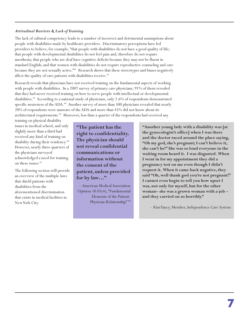## *Attitudinal Barriers & Lack of Training*

The lack of cultural competency leads to a number of incorrect and detrimental assumptions about people with disabilities made by healthcare providers. Discriminatory perceptions have led providers to believe, for example, "that people with disabilities do not have a good quality of life; that people with developmental disabilities do not feel pain and, therefore do not require anesthesia; that people who are deaf have cognitive deficits because they may not be fluent in standard English; and that women with disabilities do not require reproductive counseling and care because they are not sexually active."<sup>41</sup> Research shows that these stereotypes and biases negatively affect the quality of care patients with disabilities receive.<sup>42</sup>

Research reveals that physicians have not received training on the fundamental aspects of working with people with disabilities. In a 2007 survey of primary care physicians, 91% of them revealed that they had never received training on how to serve people with intellectual or developmental disabilities.<sup>43</sup> According to a national study of physicians, only 2.6% of respondents demonstrated specific awareness of the ADA.<sup>44</sup> Another survey of more than 500 physicians revealed that nearly 20% of respondents were unaware of the ADA and more than 45% did not know about its architectural requirements.<sup>45</sup> Moreover, less than a quarter of the respondents had received any

training on physical disability issues in medical school, and only slightly more than a third had received any kind of training on disability during their residency.<sup>46</sup> However, nearly three quarters of the physicians surveyed acknowledged a need for training on these issues.<sup>47</sup>

The following section will provide an overview of the multiple laws that shield patients with disabilities from the aforementioned discrimination that exists in medical facilities in New York City.

**"The patient has the right to confidentiality. The physician should not reveal confidential communications or information without the consent of the patient, unless provided for by law…"** 

– American Medical Association Opinion 10.01(4), "Fundamental Elements of the Patient-Physician Relationship" <sup>40</sup>

**"Another young lady with a disability was [at the gynecologist's office] when I was there and the doctor raced around the place saying, "Oh my god, she's pregnant; I can't believe it, she can't be!" She was so loud everyone in the waiting room heard it. I was disgusted. When I went in for my appointment they did a pregnancy test on me even though I didn't request it. When it came back negative, they said "Oh, well thank god you're not pregnant!" I cannot even begin to tell you how upset I was, not only for myself, but for the other woman– she was a grown woman with a job – and they carried on so horribly."**

– Kim Yancy, Member, Independence Care System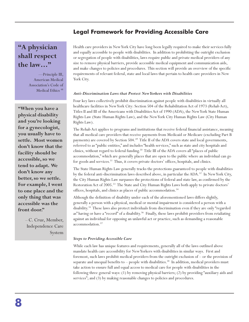# **Legal Framework for Providing Accessible Care**

# **"A physician shall respect the law…"**

—Principle III, American Medical Association's Code of Medical Ethics<sup>48</sup>

**"When you have a physical disability and you're looking for a gynecologist, you usually have to settle. Most women don't know that the facility should be accessible, so we tend to adapt. We don't know any better, so we settle. For example, I went to one place and the only thing that was accessible was the front door."**

> – C. Cruz, Member, Independence Care System

Health care providers in New York City have long been legally required to make their services fully and equally accessible to people with disabilities. In addition to prohibiting the outright exclusion or segregation of people with disabilities, laws require public and private medical providers of any size to remove physical barriers, provide accessible medical equipment and communication aids, and make changes to policies and procedures. This section will provide an overview of the specific requirements of relevant federal, state and local laws that pertain to health care providers in New York City.

### *Anti-Discrimination Laws that Protect New Yorkers with Disabilities*

Four key laws collectively prohibit discrimination against people with disabilities in virtually all healthcare facilities in New York City: Section 504 of the Rehabilitation Act of 1973 (Rehab Act), Titles II and III of the Americans with Disabilities Act of 1990 (ADA), the New York State Human Rights Law (State Human Rights Law), and the New York City Human Rights Law (City Human Rights Law).

The Rehab Act applies to programs and institutions that receive federal financial assistance, meaning that all medical care providers that receive payments from Medicaid or Medicare (excluding Part B payments) are covered by Section 504.<sup>49</sup> Title II of the ADA covers state and local governments, referred to as "public entities," and includes "health services," such as state and city hospitals and clinics, without regard to federal funding.<sup>50</sup> Title III of the ADA covers all "places of public accommodation," which are generally places that are open to the public where an individual can go for goods and services.<sup>51</sup> Thus, it covers private doctors' offices, hospitals, and clinics.

The State Human Rights Law generally tracks the protections guaranteed to people with disabilities by the federal anti-discrimination laws described above, in particular the ADA.<sup>52</sup> In New York City, the City Human Rights Law surpasses the protections of federal and state law, as confirmed by the Restoration Act of 2005.<sup>53</sup> The State and City Human Rights Laws both apply to private doctors' offices, hospitals, and clinics as places of public accommodation.<sup>54</sup>

Although the definition of disability under each of the aforementioned laws differs slightly, generally a person with a physical, medical or mental impairment is considered a person with a disability.<sup>55</sup> These laws also protect individuals from discrimination even if they are only "regarded as" having or have a "record" of a disability.<sup>56</sup> Finally, these laws prohibit providers from retaliating against an individual for opposing an unlawful act or practice, such as demanding a reasonable accommodation.<sup>57</sup>

### *Steps to Providing Accessible Care*

While each law has unique features and requirements, generally all of the laws outlined above mandate health care accessibility for New Yorkers with disabilities in similar ways. First and foremost, such laws prohibit medical providers from the outright exclusion of – or the provision of separate and unequal benefits to  $-$  people with disabilities.<sup>58</sup> In addition, medical providers must take action to ensure full and equal access to medical care for people with disabilities in the following three general ways: (1) by removing physical barriers; (2) by providing "auxiliary aids and services"; and (3) by making reasonable changes to policies and procedures.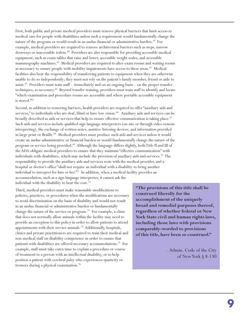First, both public and private medical providers must remove physical barriers that limit access to medical care for people with disabilities unless such a requirement would fundamentally change the nature of the program or would result in an undue financial or administrative burden.<sup>59</sup> For example, medical providers are required to remove architectural barriers such as steps, narrow doorways or inaccessible toilets.<sup>60</sup> Providers are also responsible for providing accessible medical equipment, such as exam tables that raise and lower, accessible weight scales, and accessible mammography machines.<sup>61</sup> Medical providers are required to alter exam rooms and waiting rooms as necessary to ensure people with mobility impairments have access to these areas. $62$  Medical facilities also bear the responsibility of transferring patients to equipment when they are otherwise unable to do so independently; they must not rely on the patient's family member, friend or aide to assist.<sup>63</sup> Providers must train staff – immediately and on an ongoing basis – on the proper transfer techniques, as necessary.<sup>64</sup> Beyond transfer training, providers must train staff to identify and locate "which examination and procedure rooms are accessible and where portable accessible equipment is stored."<sup>65</sup>

Second, in addition to removing barriers, health providers are required to offer "auxiliary aids and services," to individuals who are deaf, blind or have low vision.<sup>66</sup> Auxiliary aids and services can be broadly described as aids or services that help to ensure effective communication is taking place.<sup>67</sup> Such aids and services include qualified sign language interpreters (on-site or through video remote interpreting), the exchange of written notes, assistive listening devices, and information provided in large print or Braille.<sup>68</sup> Medical providers must produce such aids and services unless it would create an undue administrative or financial burden or would fundamentally change the nature of the program or service being provided.<sup>69</sup> Although the language differs slightly, both Title II and III of the ADA obligate medical providers to ensure that they maintain "effective communication" with individuals with disabilities, which may include the provision of auxiliary aids and services.<sup>70</sup> The responsibility to provide the auxiliary aids and services rests with the medical provider, and a hospital or doctor's office "shall not require an individual with a disability to bring another individual to interpret for him or her."<sup>71</sup> In addition, when a medical facility provides an accommodation, such as a sign language interpreter, it cannot ask the individual with the disability to bear the cost.<sup>72</sup>

Third, medical providers must make reasonable modifications to policies, practices, or procedures when the modifications are necessary to avoid discrimination on the basis of disability and would not result in an undue financial or administrative burden or fundamentally change the nature of the service or program.<sup>73</sup> For example, a clinic that does not normally allow animals within the facility may need to provide an exception to this policy in order to allow patients to attend appointments with their service animals.<sup>74</sup> Additionally, hospitals, clinics and private practitioners are required to train their medical and non-medical staff on disability competence in order to ensure that patients with disabilities are offered necessary accommodations.<sup>75</sup> For example, staff must take extra time to explain a procedure or course of treatment to a person with an intellectual disability, or to help position a patient with cerebral palsy who experiences spasticity or tremors during a physical examination.<sup>76</sup>

**"The provisions of this title shall be construed liberally for the accomplishment of the uniquely broad and remedial purposes thereof, regardless of whether federal or New York State civil and human rights laws, including those laws with provisions comparably-worded to provisions of this title, have been so construed."** 

> – Admin. Code of the City of New York § 8-130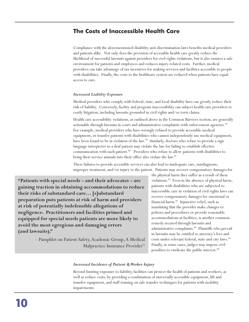# **The Costs of Inaccessible Health Care**

Compliance with the aforementioned disability anti-discrimination laws benefits medical providers and patients alike. Not only does the provision of accessible health care greatly reduce the likelihood of successful lawsuits against providers for civil rights violations, but it also ensures a safe environment for patients and employees and reduces injury-related costs. Further, medical providers can take advantage of tax incentives for making services and facilities accessible to people with disabilities. Finally, the costs to the healthcare system are reduced when patients have equal access to care.

### *Increased Liability Exposure*

Medical providers who comply with federal, state, and local disability laws can greatly reduce their risk of liability. Conversely, facility and program inaccessibility can subject health care providers to costly litigation, including lawsuits grounded in civil rights and/or torts claims.

Health care accessibility violations, as outlined above in the Common Barriers section, are generally actionable through lawsuits in court and administrative complaints with enforcement agencies.<sup>78</sup> For example, medical providers who have wrongly refused to provide accessible medical equipment, or transfer patients with disabilities who cannot independently use medical equipment, have been found to be in violation of the law.<sup>79</sup> Similarly, doctors who refuse to provide a sign language interpreter to a deaf patient may violate the law for failing to establish effective communication with such patient.<sup>80</sup> Providers who refuse to allow patients with disabilities to bring their service animals into their office also violate the law.<sup>81</sup>

These failures to provide accessible services can also lead to inadequate care, misdiagnosis, improper treatment, and/or injury to the patient. Patients may recover compensatory damages for

**"Patients with special needs – and their advocates – are gaining traction in obtaining accommodations to reduce their risks of substandard care… [s]ubstandard preparation puts patients at risk of harm and providers at risk of potentially indefensible allegations of negligence. Practitioners and facilities primed and equipped for special needs patients are more likely to avoid the most egregious and damaging errors (and lawsuits)."** 

> – Pamphlet on Patient Safety, Academic Group, A Medical Malpractice Insurance Provider<sup>77</sup>

the physical harm they suffer as a result of these violations.<sup>82</sup> Even in the absence of physical harm, patients with disabilities who are subjected to inaccessible care in violation of civil rights laws can recover compensatory damages for emotional or financial harm.<sup>83</sup> Injunctive relief, such as mandating that the provider make changes to policies and procedures or provide reasonable accommodations at facilities, is another common remedy secured through lawsuits and administrative complaints.<sup>84</sup> Plaintiffs who prevail in lawsuits may be entitled to attorney's fees and costs under relevant federal, state and city laws.<sup>85</sup> Finally, in some cases, judges may impose civil penalties to vindicate the public interest.<sup>86</sup>

### *Increased Incidence of Patient & Worker Injury*

Beyond limiting exposure to liability, facilities can protect the health of patients and workers, as well as reduce costs, by providing a combination of universally accessible equipment, lift and transfer equipment, and staff training on safe transfer techniques for patients with mobility impairments.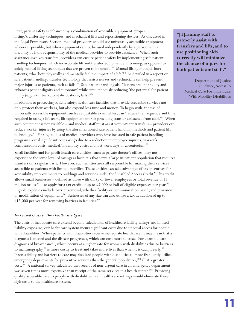First, patient safety is enhanced by a combination of accessible equipment, proper lifting/transferring techniques, and mechanical lifts and repositioning devices. As discussed in the Legal Framework Section, medical providers should use universally accessible equipment whenever possible, but when equipment cannot be used independently by a person with a disability, it is the responsibility of the medical provider to provide assistance. When such assistance involves transfers, providers can ensure patient safety by implementing safe patient handling techniques, which incorporate lift and transfer equipment and training, as opposed to solely manual lifting techniques that are proven to be unsafe.<sup>87</sup> Manual lifting methods hurt patients, who "both physically and mentally feel the impact of a lift."<sup>88</sup> As detailed in a report on safe patient handling, transfer technology that assists nurses and technicians can help prevent major injuries to patients, such as falls.<sup>89</sup> Safe patient handling also "lessens patient anxiety and enhances patient dignity and autonomy" while simultaneously reducing "the potential for patient injury (e.g., skin tears, joint dislocations, falls)."<sup>90</sup>

In addition to protecting patient safety, health care facilities that provide accessible services not only protect their workers, but also expend less time and money. To begin with, the use of universally accessible equipment, such as adjustable exam tables, can "reduce the frequency and time required in using a lift team, lift equipment and/or providing transfer assistance from staff."<sup>91</sup> When such equipment is not available – and medical staff must assist with patient transfers – providers can reduce worker injuries by using the aforementioned safe patient handling methods and patient lift technology.<sup>92</sup> Finally, studies of medical providers who have invested in safe patient handling programs reveal significant cost savings due to a reduction in employee injuries, worker's compensation costs, medical/indemnity costs, and lost work days or absenteeism.<sup>93</sup>

Small facilities and for-profit health care entities, such as private doctor's offices, may not experience the same level of savings as hospitals that serve a large in-patient population that requires transfers on a regular basis. However, such entities are still responsible for making their services accessible to patients with limited mobility. These entities can take advantage of tax incentives for accessibility improvements to buildings and services under the "Disabled Access Credit." This credit allows small businesses – defined as those with thirty or fewer employees or total revenue of \$1 million or less<sup>94</sup> – to apply for a tax credit of up to \$5,000 or half of eligible expenses per year.<sup>95</sup> Eligible expenses include barrier removal, whether facility or communication based, and provision or modification of equipment.<sup>96</sup> Businesses of any size can also utilize a tax deduction of up to \$15,000 per year for removing barriers in facilities.<sup>97</sup>

# *Increased Costs to the Healthcare System*

The costs of inadequate care extend beyond calculations of healthcare facility savings and limited liability exposure; our healthcare system incurs significant costs due to unequal access for people with disabilities. When patients with disabilities receive inadequate health care, it may mean that a diagnosis is missed and the disease progresses, which can cost more to treat. For example, late diagnosis of breast cancer, which occurs at a higher rate for women with disabilities due to barriers to mammography, $^{98}$  is more costly to treat and takes more lives than when it is caught early. $^{99}$ Inaccessibility and barriers to care may also lead people with disabilities to more frequently utilize emergency departments for preventive services than the general population,<sup>100</sup> all at a greater cost.<sup>101</sup> A national survey calculated that receipt of non-urgent care in an emergency department was seven times more expensive than receipt of the same services in a health center.<sup>102</sup> Providing quality accessible care to people with disabilities in all health care settings would eliminate these high costs to the healthcare system.

**"[T]raining staff to properly assist with transfers and lifts, and to use positioning aids correctly will minimize the chance of injury for both patients and staff."**

> –Department of Justice Guidance, Access To Medical Care For Individuals With Mobility Disabilities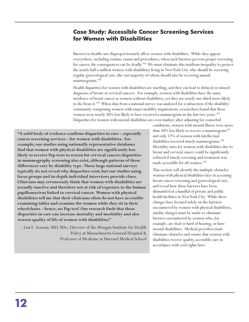# **Case Study: Accessible Cancer Screening Services for Women with Disabilities**

Barriers to health care disproportionately affect women with disabilities. While they appear everywhere, including routine exams and procedures, when such barriers prevent proper screening for cancer, the consequences can be deadly.<sup>103</sup> We must eliminate this insidious inequality to protect the nearly half a million women with disabilities living in New York City who should be receiving regular gynecological care, the vast majority of whom should also be receiving annual mammograms.<sup>104</sup>

Health disparities for women with disabilities are startling, and they can lead to delayed or missed diagnoses of breast or cervical cancers. For example, women with disabilities have the same incidence of breast cancer as women without disabilities, yet they are nearly one-third more likely to die from it.<sup>105</sup> When data from a national survey was analyzed for a subsection of the disability community comprising women with major mobility impairments, researchers found that these women were nearly 20% less likely to have received a mammogram in the last two years.<sup>106</sup> Disparities for women with mental disabilities are even starker; after adjusting for comorbid

**"A solid body of evidence confirms disparities in care – especially cancer screening services – for women with disabilities. For example, our studies using nationally representative databases find that women with physical disabilities are significantly less likely to receive Pap tests to screen for cervical cancer; disparities in mammography screening also exist, although patterns of these differences vary by disability type. These large national surveys typically do not reveal why disparities exist, but our studies using focus groups and in-depth individual interviews provide clues. Clinicians may erroneously think that women with disabilities are sexually inactive and therefore not at risk of exposure to the human papillomavirus linked to cervical cancer. Women with physical disabilities tell me that their clinicians often do not have accessible examining tables and examine the women while they sit in their wheelchairs – hence, no Pap test! Our research finds that these disparities in care can increase mortality and morbidity and also worsen quality of life of women with disabilities."**

– Lisa I. Iezzoni, MD, MSc, Director of the Mongan Institute for Health Policy at Massachusetts General Hospital & Professor of Medicine at Harvard Medical School conditions, women with mental illness were more than 30% less likely to receive a mammogram<sup>107</sup> and only 12% of women with intellectual disabilities received timely mammograms.<sup>108</sup> Mortality rates for women with disabilities due to breast and cervical cancer could be significantly reduced if timely screening and treatment was made accessible for all women.<sup>109</sup>

This section will identify the multiple obstacles women with physical disabilities face in accessing breast cancer screening and gynecological care, and reveal how those barriers have been dismantled at a handful of private and public health facilities in New York City. While these changes have focused solely on the barriers encountered by women with physical disabilities, similar changes must be made to eliminate barriers encountered by women who, for example, are deaf or hard of hearing, or have mental disabilities. Medical providers must eliminate obstacles and ensure that women with disabilities receive quality, accessible care in accordance with civil rights laws.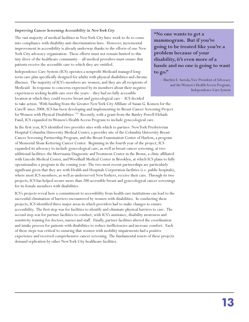# *Improving Cancer Screening Accessibility in New York City*

The vast majority of medical facilities in New York City have work to do to come into compliance with disability anti-discrimination laws. However, incremental improvement in accessibility is already underway thanks to the efforts of one New York City advocacy organization. These efforts must not remain limited to this tiny sliver of the healthcare community – all medical providers must ensure that patients receive the accessible care to which they are entitled.

Independence Care System (ICS) operates a nonprofit Medicaid managed longterm care plan specifically designed for adults with physical disabilities and chronic illnesses. The majority of ICS's members are women, and they are all recipients of Medicaid. In response to concerns expressed by its members about their negative experiences seeking health care over the years – they had no fully accessible location at which they could receive breast and gynecological care – ICS decided

to take action. With funding from the Greater New York City Affiliate of Susan G. Komen for the Cure® since 2008, ICS has been developing and implementing its Breast Cancer Screening Project for Women with Physical Disabilities.<sup>110</sup> Recently, with a grant from the Baisley Powell Elebash Fund, ICS expanded its Women's Health Access Program to include gynecological care.

In the first year, ICS identified two provider sites with which to partner: New York Presbyterian Hospital-Columbia University Medical Center, a provider site of the Columbia University Breast Cancer Screening Partnership Program, and the Breast Examination Center of Harlem, a program of Memorial Sloan Kettering Cancer Center. Beginning in the fourth year of the project, ICS expanded its advocacy to include gynecological care, as well as breast cancer screening, at two additional facilities: the Morrisania Diagnostic and Treatment Center in the Bronx, a clinic affiliated with Lincoln Medical Center, and Woodhull Medical Center in Brooklyn, at which ICS plans to fully operationalize a program in the coming year. The two most recent partnerships are particularly significant given that they are with Health and Hospitals Corporation facilities (i.e. public hospitals), where most ICS members, as well as underserved New Yorkers, receive their care. Through its two projects, ICS has helped secure more than 200 accessible breast and gynecological cancer screenings for its female members with disabilities.

ICS's projects reveal how a commitment to accessibility from health care institutions can lead to the successful elimination of barriers encountered by women with disabilities. In conducting these projects, ICS identified three major areas in which providers had to make changes to ensure accessibility. The first step was for facilities to identify and eliminate physical barriers to care. The second step was for partner facilities to conduct, with ICS's assistance, disability awareness and sensitivity training for doctors, nurses and staff. Finally, partner facilities altered the coordination and intake process for patients with disabilities to reduce inefficiencies and increase comfort. Each of these steps was critical to ensuring that women with mobility impairments had a positive experience and received comprehensive cancer screening. The fundamental tenets of these projects demand replication by other New York City healthcare facilities.

**"No one wants to get a mammogram. But if you're going to be treated like you're a problem because of your disability, it's even more of a hassle and no one is going to want to go."** 

– Marilyn E. Saviola, Vice President of Advocacy and the Women's Health Access Program, Independence Care System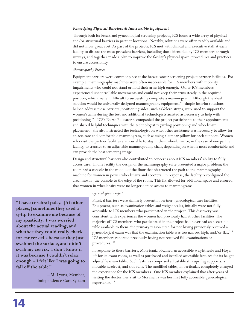## *Remedying Physical Barriers & Inaccessible Equipment*

Through both its breast and gynecological screening projects, ICS found a wide array of physical and/or structural barriers in partner locations. Notably, solutions were often readily available and did not incur great cost. As part of the projects, ICS met with clinical and executive staff at each facility to discuss the most prevalent barriers, including those identified by ICS members through surveys, and together made a plan to improve the facility's physical space, procedures and practices to ensure accessibility.

### *Mammography Project*

Equipment barriers were commonplace at the breast cancer screening project partner facilities. For example, mammography machines were often inaccessible for ICS members with mobility impairments who could not stand or hold their arms high enough. Other ICS members experienced uncontrollable movements and could not keep their arms steady in the required position, which made it difficult to successfully complete a mammogram. Although the ideal solution would be universally designed mammography equipment,<sup>111</sup> simple interim solutions helped address these barriers; positioning aides, such as Velcro straps, were used to support the women's arms during the test and additional technologists assisted as necessary to help with positioning.<sup>112</sup> ICS's Nurse Educator accompanied the project participants to their appointments and shared helpful techniques with the technologist regarding positioning and wheelchair placement. She also instructed the technologist on what other assistance was necessary to allow for an accurate and comfortable mammogram, such as using a lumbar pillow for back support. Women who visit the partner facilities are now able to stay in their wheelchair or, in the case of one partner facility, to transfer to an adjustable mammography chair, depending on what is most comfortable and can provide the best screening image.

Design and structural barriers also contributed to concerns about ICS members' ability to fully access care. In one facility the design of the mammography suite presented a major problem; the room had a console in the middle of the floor that obstructed the path to the mammography machine for women in power wheelchairs and scooters. In response, the facility reconfigured the area, moving the console to the edge of the room. This fix allowed for additional space and ensured that women in wheelchairs were no longer denied access to mammograms.

### *Gynecological Project*

**"I have cerebral palsy. [At other places,] sometimes they used a q-tip to examine me because of my spasticity. I was worried about the actual reading, and whether they could really check for cancer cells because they just swabbed the surface, and didn't swab my cervix. I don't know if it was because I couldn't relax enough – I felt like I was going to fall off the table."** 

> – M. Lyons, Member, Independence Care System

Physical barriers were similarly present in partner gynecological care facilities. Equipment, such as examination tables and weight scales, initially were not fully accessible to ICS members who participated in the project. This discovery was consistent with experiences the women had previously had at other facilities. The majority of ICS members who participated in the project had never had an accessible table available to them; the primary reason cited for not having previously received a gynecological exam was that the examination table was too narrow, high, and/or flat.<sup>113</sup> ICS members reported previously having not received full examinations or procedures.<sup>114</sup>

In response to these barriers, Morrisania obtained an accessible weight scale and Hoyer lift for its exam room, as well as purchased and installed accessible features for its height adjustable exam table. Such features comprised adjustable stirrups, leg supports, a movable headrest, and side rails. The modified tables, in particular, completely changed the experience for the ICS members. One ICS member explained that after years of visiting the doctor, her visit to Morrisania was her first fully accessible gynecological experience.<sup>115</sup>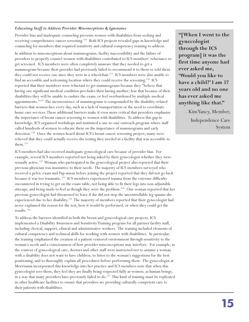# *Educating Staff to Address Provider Misconceptions & Ignorance*

Provider bias and inadequate counseling prevents women with disabilities from seeking and receiving comprehensive cancer screening.<sup>116</sup> Both ICS projects revealed gaps in knowledge and counseling for members that required sensitivity and cultural competency training to address.

In addition to misconceptions about mammograms, facility inaccessibility and the failure of providers to properly counsel women with disabilities contributed to ICS members' reluctance to get screened. ICS members were often completely unaware that they needed to get a mammogram because their provider had previously failed to recommend it to them or told them they could not receive one since they were in a wheelchair.<sup>117</sup> ICS members were also unable to find an accessible and welcoming location where they could receive the screening.<sup>118</sup> ICS reported that their members were reluctant to get mammograms because they "believe that having one significant medical condition precludes their having another; fear that because of their disabilities they will be unable to endure the exam; or feel overburdened by multiple medical appointments.<sup>"119</sup> The inconvenience of mammograms is compounded by the disability-related barriers that women face every day, such as a lack of transportation or the need to coordinate home care services. These additional barriers make it even more critical that providers emphasize the importance of breast cancer screening to women with disabilities. To address this gap in knowledge, ICS organized workshops and instituted a one-to-one outreach program where staff called hundreds of women to educate them on the importance of mammograms and early detection.<sup>120</sup> Once the women heard about ICS's breast cancer screening project, many were relieved that they could actually receive the testing they needed in a facility that was accessible to them.<sup>121</sup>

ICS members had also received inadequate gynecological care because of provider bias. For example, several ICS members reported not being asked by their gynecologist whether they were sexually active.<sup>122</sup> Woman who participated in the gynecological project also reported that their previous physician was insensitive to their needs. The majority of ICS members surveyed who received a pelvic exam and Pap smear before joining the project reported that they did not go back because it was too traumatic.<sup>123</sup> ICS members experienced trauma from the extreme difficulty encountered in trying to get on the exam table, not being able to fit their legs into non-adjustable stirrups, and being made to feel as though they were the problem.<sup>124</sup> One woman reported that her previous gynecologist had threatened to leave if she did not stop the uncontrollable leg spasms she experienced due to her disability.<sup>125</sup> The majority of members reported that their gynecologist had never explained the reason for the test, how it would be performed, or when they could get the results.<sup>126</sup>

To address the barriers identified in both the breast and gynecological care projects, ICS implemented a Disability Awareness and Sensitivity Training program for all partner facility staff, including clerical, support, clinical and administrative workers. The training included elements of cultural competency and technical skills for working with women with disabilities. In particular, the training emphasized the creation of a patient-centered environment through sensitivity to the woman's needs and a consciousness of how provider misconceptions may interfere. For example, in the context of gynecological care, doctors and other staff were instructed not to assume a woman with a disability does not want to have children, to listen to the woman's suggestions for the best positioning, and to thoroughly explain all procedures before performing them. The gynecologist at Morrisania incorporated this knowledge into her practice and ICS members note that when this gynecologist sees them, they feel they are finally being respected fully as women, as human beings, in a way that many providers have previously failed to do.<sup>127</sup> This kind of training must be replicated in other healthcare facilities to ensure that providers are providing culturally competent care to their patients with disabilities.

**"[When I went to the gynecologist through the ICS program] it was the first time anyone had ever asked me, 'Would you like to have a child?' I am 37 years old and no one has ever asked me anything like that."** 

> – Kim Yancy, Member, Independence Care System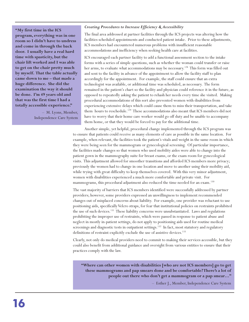# *Creating Procedures to Increase Efficiency & Accessibility*

The final area addressed at partner facilities through the ICS projects was altering how the facilities scheduled appointments and conducted patient intake. Prior to these adjustments, ICS members had encountered numerous problems with insufficient reasonable accommodations and inefficiency when seeking health care at facilities.

ICS encouraged each partner facility to add a functional assessment section to the intake forms with a series of simple questions, such as whether the woman could transfer or raise her arms, to evaluate what accommodations may be necessary.<sup>128</sup> This form was filled out and sent to the facility in advance of the appointment to allow the facility staff to plan accordingly for the appointment. For example, the staff could ensure that an extra technologist was available, or additional time was scheduled, as necessary. The form remained in the patient's chart so the facility and physician could reference it in the future, as opposed to repeatedly asking the patient to rehash her needs every time she visited. Making procedural accommodations of this sort also prevented women with disabilities from experiencing extensive delays which could cause them to miss their transportation, and take them hours to reschedule.<sup>129</sup> These accommodations also meant that ICS members did not have to worry that their home care worker would go off duty and be unable to accompany them home, or that they would be forced to pay for the additional time.

Another simple, yet helpful, procedural change implemented through the ICS program was to ensure that patients could receive as many elements of care as possible in the same location. For example, when relevant, the facilities took the patient's vitals and weight in the same room in which they were being seen for the mammogram or gynecological screening. Of particular importance, the facilities made changes so that women who used mobility aides were able to change into the patient gown in the mammography suite for breast exams, or the exam room for gynecological visits. This adjustment allowed for smoother transitions and afforded ICS members more privacy; previously the women had to change in one location and move to another using their mobility aid, while trying with great difficulty to keep themselves covered. With this very minor adjustment, women with disabilities experienced a much more comfortable and private visit. For mammograms, this procedural adjustment also reduced the time needed for an exam. 130

The vast majority of barriers that ICS members identified were successfully addressed by partner providers; however, some providers expressed an unwillingness to implement recommended changes out of misplaced concerns about liability. For example, one provider was reluctant to use positioning aids, specifically Velcro straps, for fear that institutional policies on restraints prohibited the use of such devices.<sup>131</sup> These liability concerns were unsubstantiated. Laws and regulations prohibiting the improper use of restraints, which were passed in response to patient abuse and neglect in mostly in-patient settings, do not apply to positioning aids used for routine medical screenings and diagnostic tests in outpatient settings.<sup>132</sup> In fact, most statutory and regulatory definitions of restraint explicitly exclude the use of assistive devices.<sup>133</sup>

Clearly, not only do medical providers need to commit to making their services accessible, but they could also benefit from additional guidance and oversight from various entities to ensure that their practices comply with the law.

**"Where can other women with disabilities [who are not ICS members] go to get these mammograms and pap smears done and be comfortable? There's a lot of people out there who don't get a mammogram or a pap smear…"** 

– Esther J., Member, Independence Care System

**"My first time in the ICS program, everything was in one room so I didn't have to undress and come in through the back door. I usually have a real hard time with spasticity, but the chair lift worked and I was able to get on the chair pretty much by myself. That the table actually came down to me – that made a huge difference. She did the examination the way it should be done. I'm 49 years old and that was the first time I had a totally accessible experience."** 

> – M. Lyons, Member, Independence Care System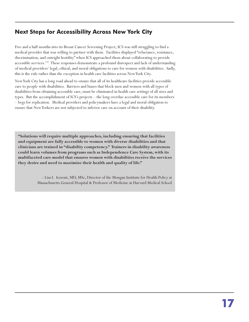# **Next Steps for Accessibility Across New York City**

Five and a half months into its Breast Cancer Screening Project, ICS was still struggling to find a medical provider that was willing to partner with them. Facilities displayed "reluctance, resistance, discrimination, and outright hostility" when ICS approached them about collaborating to provide accessible services.<sup>131</sup> These responses demonstrate a profound disrespect and lack of understanding of medical providers' legal, ethical, and moral obligations to care for women with disabilities. Sadly, this is the rule rather than the exception in health care facilities across New York City.

New York City has a long road ahead to ensure that all of its healthcare facilities provide accessible care to people with disabilities. Barriers and biases that block men and women with all types of disabilities from obtaining accessible care, must be eliminated in health care settings of all sizes and types. But the accomplishment of ICS's projects – the long overdue accessible care for its members – begs for replication. Medical providers and policymakers have a legal and moral obligation to ensure that New Yorkers are not subjected to inferior care on account of their disability.

**"Solutions will require multiple approaches, including ensuring that facilities and equipment are fully accessible to women with diverse disabilities and that clinicians are trained in "disability competency." Trainers in disability awareness could learn volumes from programs such as Independence Care System, with its multifaceted care model that ensures women with disabilities receive the services they desire and need to maximize their health and quality of life."**

> – Lisa I. Iezzoni, MD, MSc, Director of the Mongan Institute for Health Policy at Massachusetts General Hospital & Professor of Medicine at Harvard Medical School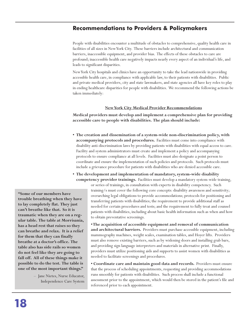# **Recommendations to Providers & Policymakers**

People with disabilities encounter a multitude of obstacles to comprehensive, quality health care in facilities of all sizes in New York City. These barriers include architectural and communication barriers, inaccessible equipment, and provider bias. The effects of these obstacles to care are profound; inaccessible health care negatively impacts nearly every aspect of an individual's life, and leads to significant disparities.

New York City hospitals and clinics have an opportunity to take the lead nationwide in providing accessible health care, in compliance with applicable law, to their patients with disabilities. Public and private medical providers, city and state lawmakers, and state agencies all have key roles to play in ending healthcare disparities for people with disabilities. We recommend the following actions be taken immediately:

## **New York City Medical Provider Recommendations**

**Medical providers must develop and implement a comprehensive plan for providing accessible care to people with disabilities. The plan should include:**

- **The creation and dissemination of a system-wide non-discrimination policy, with accompanying protocols and procedures.** Facilities must come into compliance with disability anti-discrimination laws by providing patients with disabilities with equal access to care. Facility and system administrators must create and implement a policy and accompanying protocols to ensure compliance at all levels. Facilities must also designate a point person to coordinate and ensure the implementation of such policies and protocols. Such protocols must include a grievance procedure for patients with disabilities who are denied accessible care.
- **The development and implementation of mandatory, system-wide disability competency provider trainings.** Facilities must develop a mandatory system-wide training,

or series of trainings, in consultation with experts in disability competency. Such training/s must cover the following core concepts: disability awareness and sensitivity; overarching legal obligations to provide accommodations; protocols for positioning and transferring patients with disabilities; the requirement to provide additional staff as needed for certain procedures and tests; and the requirement to fully treat and counsel patients with disabilities, including about basic health information such as when and how to obtain preventative screenings.

**• The acquisition of accessible equipment and removal of communication and architectural barriers.** Providers must purchase accessible equipment, including mammography machines, weight scales, examination tables, and Hoyer lifts. Providers must also remove existing barriers, such as by widening doors and installing grab bars, and providing sign language interpreters and materials in alternative print. Finally, providers must utilize positioning aids and supports to assist women with disabilities as needed to facilitate screenings and procedures.

**• Coordinate care and maintain good data and records.** Providers must ensure that the process of scheduling appointments, requesting and providing accommodations runs smoothly for patients with disabilities. Such process shall include a functional assessment prior to the appointment, which would then be stored in the patient's file and referenced prior to each appointment.

**"Some of our members have trouble breathing when they have to lay completely flat. They just can't breathe like that. So it is traumatic when they are on a regular table. The table at Morrisania, has a head rest that raises so they can breathe and relax. It is a relief for them that they can finally breathe at a doctor's office. The table also has side rails so women do not feel like they are going to fall off. All of these things make it possible to do the test. The table is one of the most important things."** 

> – Jane Nietes, Nurse Educator, Independence Care System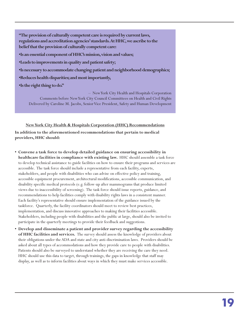**"The provision of culturally competent care is required by current laws, regulations and accreditation agencies' standards. At HHC, we ascribe to the belief that the provision of culturally competent care: •Is an essential component of HHC's mission, vision and values;**

**•Leads to improvements in quality and patient safety;**

**•Is necessary to accommodate changing patient and neighborhood demographics;**

**•Reduces health disparities; and most importantly,**

**•Is the right thing to do."** 

– New York City Health and Hospitals Corporation Comments before New York City Council Committees on Health and Civil Rights Delivered by Caroline M. Jacobs, Senior Vice President, Safety and Human Development

# **New York City Health & Hospitals Corporation (HHC) Recommendations**

**In addition to the aforementioned recommendations that pertain to medical providers, HHC should:** 

- **Convene a task force to develop detailed guidance on ensuring accessibility in healthcare facilities in compliance with existing law.** HHC should assemble a task force to develop technical assistance to guide facilities on how to ensure their programs and services are accessible. The task force should include a representative from each facility, experts, stakeholders, and people with disabilities who can advise on effective policy and training, accessible equipment procurement, architectural modifications, accessible communication, and disability specific medical protocols (e.g. follow-up after mammograms that produce limited views due to inaccessibility of screening). The task force should issue reports, guidance, and recommendations to help facilities comply with disability rights laws in a consistent manner. Each facility's representative should ensure implementation of the guidance issued by the taskforce. Quarterly, the facility coordinators should meet to review best practices, implementation, and discuss innovative approaches to making their facilities accessible. Stakeholders, including people with disabilities and the public at large, should also be invited to participate in the quarterly meetings to provide their feedback and suggestions.
- **Develop and disseminate a patient and provider survey regarding the accessibility of HHC facilities and services.** The survey should assess the knowledge of providers about their obligations under the ADA and state and city anti-discrimination laws. Providers should be asked about all types of accommodations and how they provide care to people with disabilities. Patients should also be surveyed to understand whether they are receiving the care they need. HHC should use this data to target, through trainings, the gaps in knowledge that staff may display, as well as to inform facilities about ways in which they must make services accessible.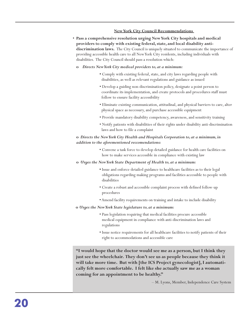# **New York City Council Recommendations**

- **Pass a comprehensive resolution urging New York City hospitals and medical providers to comply with existing federal, state, and local disability antidiscrimination laws.** The City Council is uniquely situated to communicate the importance of providing accessible health care to all New York City residents, including individuals with disabilities. The City Council should pass a resolution which:
- **o** *Directs New York City medical providers to, at a minimum:* 
	- **•** Comply with existing federal, state, and city laws regarding people with disabilities, as well as relevant regulations and guidance as issued
	- Develop a guiding non-discrimination policy, designate a point person to coordinate its implementation, and create protocols and procedures staff must follow to ensure facility accessibility
	- Eliminate existing communication, attitudinal, and physical barriers to care, alter physical space as necessary, and purchase accessible equipment
	- Provide mandatory disability competency, awareness, and sensitivity training
	- Notify patients with disabilities of their rights under disability anti-discrimination laws and how to file a complaint

# **o** *Directs the New York City Health and Hospitals Corporation to, at a minimum, in addition to the aforementioned reccomendations:*

- Convene a task force to develop detailed guidance for health care facilities on how to make services accessible in compliance with existing law
- **o** *Urges the New York State Department of Health to, at a minimum:*
	- **•** Issue and enforce detailed guidance to healthcare facilities as to their legal obligations regarding making programs and facilities accessible to people with disabilities
	- Create a robust and accessible complaint process with defined follow-up procedures
	- Amend facility requirements on training and intake to include disability
- **o** *Urges the New York State legislature to, at a minimum:* 
	- Pass legislation requiring that medical facilities procure accessible medical equipment in compliance with anti-discrimination laws and regulations
	- Issue notice requirements for all healthcare facilities to notify patients of their right to accommodations and accessible care

**"I would hope that the doctor would see me as a person, but I think they just see the wheelchair. They don't see us as people because they think it will take more time. But with [the ICS Project gynecologist], I automatically felt more comfortable. I felt like she actually saw me as a woman coming for an appointment to be healthy."** 

– M. Lyons, Member, Independence Care System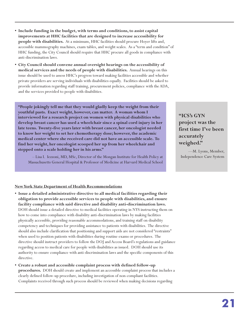- **Include funding in the budget, with terms and conditions, to assist capital improvements at HHC facilities that are designed to increase accessibility for people with disabilities.** At a minimum, HHC facilities should procure Hoyer lifts and, accessible mammography machines, exam tables, and weight scales. As a "term and condition" of HHC funding, the City Council should require that HHC procure all goods in compliance with anti-discrimination laws.
- **City Council should convene annual oversight hearings on the accessibility of medical services and the needs of people with disabilities.** Annual hearings on this issue should be used to assess HHC's progress toward making facilities accessible and whether private providers are serving individuals with disabilities equally. Facilities should be asked to provide information regarding staff training, procurement policies, compliance with the ADA, and the services provided to people with disabilities.

**"People jokingly tell me that they would gladly keep the weight from their youthful pasts. Exact weight, however, can matter. A woman whom I interviewed for a research project on women with physical disabilities who develop breast cancer has used a wheelchair since a spinal cord injury in her late teens. Twenty-five years later with breast cancer, her oncologist needed to know her weight to set her chemotherapy dose; however, the academic medical center where she received care did not have an accessible scale. To find her weight, her oncologist scooped her up from her wheelchair and stepped onto a scale holding her in his arms."**

– Lisa I. Iezzoni, MD, MSc, Director of the Mongan Institute for Health Policy at Massachusetts General Hospital & Professor of Medicine at Harvard Medical School

# **"ICS's GYN project was the first time I've been accurately weighed."**

—M. Lyons, Member, Independence Care System

# **New York State Department of Health Recommendations**

- **Issue a detailed administrative directive to all medical facilities regarding their obligation to provide accessible services to people with disabilities, and ensure facility compliance with said directive and disability anti-discrimination laws.** DOH should issue a detailed directive to medical facilities operating in NYS instructing them on how to come into compliance with disability anti-discrimination laws by making facilities physically accessible, providing reasonable accommodations, and training staff on disability competency and techniques for providing assistance to patients with disabilities. The directive should also include clarification that positioning and support aids are not considered "restraints" when used to position patients with disabilities during routine exams or procedures. The directive should instruct providers to follow the DOJ and Access Board's regulations and guidance regarding access to medical care for people with disabilities as issued. DOH should use its authority to ensure compliance with anti-discrimination laws and the specific components of this directive.
- **Create a robust and accessible complaint process with defined follow-up procedures.** DOH should create and implement an accessible complaint process that includes a clearly defined follow-up procedure, including investigation of non-compliant facilities. Complaints received through such process should be reviewed when making decisions regarding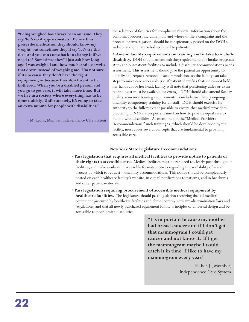**"Being weighed has always been an issue. They say, 'let's do it approximately.' Before they prescribe medication they should know my weight, but sometimes they'll say 'let's try this dose and you can come back to change it if we need to.' Sometimes they'll just ask how long ago I was weighed and how much, and just write that down instead of weighing me. I'm not sure if it's because they don't have the right equipment, or because they don't want to be bothered. When you're a disabled person and you go to get care, it will take more time. But we live in a society where everything has to be done quickly. Unfortunately, it's going to take an extra minute for people with disabilities."** 

– M. Lyons, Member, Independence Care System

the selection of facilities for compliance review. Information about the complaint process, including how and where to file a complaint and the process for investigation, should be conspicuously posted on the DOH's website and on materials distributed to patients.

**• Amend facility requirements on training and intake to include disability.** DOH should amend existing requirements for intake processes at in- and out-patient facilities to include a disability accommodations needs assessment. This assessment should give the patient an opportunity to identify and request reasonable accommodations so the facility can take steps to make care accessible (i.e. if patient identifies that she cannot hold her hands above her head, facility will note that positioning aides or extra technologist must be available for exam). DOH should also amend facility quality assurance training requirements to include mandatory ongoing disability competency training for all staff. DOH should exercise its authority to the fullest extent possible to ensure that medical providers practicing in NYS are properly trained on how to provide equal care to people with disabilities. As mentioned in the "Medical Providers Recommendations," such training/s, which should be developed by the facility, must cover several concepts that are fundamental to providing accessible care.

# **New York State Legislature Recommendations**

- **Pass legislation that requires all medical facilities to provide notice to patients of their rights to accessible care.** Medical facilities must be required to clearly post throughout facilities, and make available in accessible formats, notices regarding the availability of – and process by which to request – disability accommodations. This notice should be conspicuously posted on each healthcare facility's website, in e-mail notifications to patients, and in brochures and other patient materials.
- **Pass legislation requiring procurement of accessible medical equipment by healthcare facilities.** The legislature should pass legislation requiring that all medical equipment procured by healthcare facilities and clinics comply with anti-discrimination laws and regulations, and that all newly purchased equipment follow principles of universal design and be accessible to people with disabilities.

**"It's important because my mother had breast cancer and if I don't get that mammogram I could get cancer and not know it. If I get the mammogram maybe I could catch it in time. I like to have my mammogram every year."** 

> – Esther J., Member, Independence Care System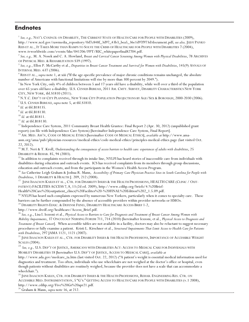# **Endnotes**

 $1$  See, e.g., NAT'L COUNCIL ON DISABILITY, THE CURRENT STATE OF HEALTH CARE FOR PEOPLE WITH DISABILITIES (2009), http://www.ncd.gov/rawmedia\_repository/0d7c848f\_3d97\_43b3\_bea5\_36e1d97f973d?document.pdf; see also, JUDY PANKO REIS ET AL., IT TAKES MORE THAN RAMPS TO SOLVE THE CRISIS OF HEALTHCARE FOR PEOPLE WITH DISABILITIES 7 (2004), www.tvworldwide.com/events/hhs/041206/PPT/RIC\_whitepaperfinal82704.pdf.

 $^2$  See, e.g., M. A. Nosek and C. A. Howland, Breast and Cervical Cancer Screening Among Women with Physical Disabilities, 78 ARCHIVES OF PHYSICAL MED. & REHABILITATION S39 (1997).

<sup>3</sup> See, e.g., Ellen P. McCarthy et al., Disparities in Breast Cancer Treatment and Survival for Women with Disabilities, 145(9) ANNALS OF INTERNAL MED. 637 (2006).

<sup>4</sup> REIS ET AL., *supra* note 1, at xiii ("If the age-specific prevalence of major chronic conditions remains unchanged, the absolute number of Americans with functional limitations will rise by more than 300 percent by 2049.").

<sup>5</sup> In New York City, only 4% of children between 5 and 17 years old have a disability, while well over a third of the population over 65 years old have a disability. U.S. CENSUS BUREAU, 2011 AM. CMTY. SURVEY, DISABILITY CHARACTERISTICS NEW YORK CITY, NEW YORK, tbl. S1810 (2011).

 $6$  N.Y.C. Dep't of City Planning, New York City Population Projections by Age/Sex & Borough, 2000-2030 (2006). <sup>7</sup> U.S. CENSUS BUREAU, supra note 5, at tbl.S1810.

 $<sup>8</sup>$  Id. at tbl.B18135.</sup>

 $9$  Id. at tbl.B18130.

 $^{\rm 10}$   $Id.$  at tbl.B1811.

 $11$  Id. at tbl.B18130.

<sup>12</sup> Independence Care System, 2011 Community Breast Health Grantee: Final Report 2 (Apr. 30, 2012) (unpublished grant report) (on file with Independence Care System) [hereinafter Independence Care System, Final Report].

<sup>13</sup> AM. MED. ASS'N, CODE OF MEDICAL ETHICS [hereinafter CODE OF MEDICAL ETHICS], available at http://www.amaassn.org/ama/pub/physician-resources/medical-ethics/code-medical-ethics/principles-medical-ethics.page (last visited Oct. 22, 2012).

<sup>14</sup> M.T. Neri & T. Kroll, Understanding the consequences of access barriers to health care: experiences of adults with disabilities, 25 DISABILITY & REHAB. 85, 94 (2003).

<sup>15</sup> In addition to complaints received through its intake line, NYLPI has heard stories of inaccessible care from individuals with disabilities during education and outreach events. ICS has received complaints from its members through group discussions, education and outreach events, and from the participants in the Women's Health Access Program.

<sup>16</sup> See Catherine Leigh Graham & Joshua R. Mann, Accessibility of Primary Care Physician Practice Sites in South Carolina for People with Disabilities, 1 DISABILITY & HEALTH J. 209, 212 (2008).

<sup>17</sup> JUNE ISAACSON KAILES ET AL., CTR. FOR DISABILITY ISSUES & THE HEALTH PROFESSIONS, HEALTH CARE (CLINIC / OUT-PATIENT) FACILITIES ACCESS 7, 8, 13 (2d ed. 2009), http://www.cdihp.org/briefs/4.%20Brief-

Health%20Care%20(outpatient\_clincs)%20Facilites%20-%20FINAL%20Edition%202\_1.5.09.pdf.

<sup>18</sup> NYLPI has heard such complaints expressed by numerous New Yorkers, particularly when it comes to specialty care. These barriers can be further compounded by the absence of accessible providers within provider networks or HMOs.

<sup>19</sup> DISABILITY RIGHTS EDUC. & DEFENSE FUND, DISABILITY HEALTHCARE ACCESS BRIEF 1-2,

http://www.dredf.org/healthcare/Access\_Brief.pdf.

 $^{20}$  See, e.g., Lisa I. Iezzoni et al., Physical Access to Barriers to Care for Diagnosis and Treatment of Breast Cancer Among Women with Mobility Impairments, 37 ONCOLOGY NURSING FORUM 711, 714 (2010) [hereinafter Iezzoni, et al., Physical Access to Diagnosis and Treatment of Breast Cancer]. When accessible tables are not available in a facility, doctors may also be reluctant to suggest necessary procedures or fully examine a patient. Kristi L. Kirschner et al., Structural Impairments That Limit Access to Health Care for Patients with Disabilities, 297 JAMA 1121, 1121 (2007).

<sup>21</sup> JUNE ISAACSON KAILES ET AL., CTR. FOR DISABILITY ISSUES & THE HEALTH PROFESSIONS, IMPORTANCE OF ACCESSIBLE WEIGHT **SCALES (2004).** 

 $^{22}$  See, e.g., U.S. DEP'T OF JUSTICE, AMERICANS WITH DISABILITIES ACT: ACCESS TO MEDICAL CARE FOR INDIVIDUALS WITH MOBILITY DISABILITIES 18 [hereinafter U.S. DEP'T OF JUSTICE, ACCESS TO MEDICAL CARE], available at

http://www.ada.gov/medcare\_ta.htm (last visited Oct. 22, 2012) ("A patient's weight is essential medical information used for diagnostics and treatment. Too often, individuals who use wheelchairs are not weighed at the doctor's office or hospital, even though patients without disabilities are routinely weighed, because the provider does not have a scale that can accommodate a wheelchair.").

<sup>23</sup> JUNE ISAACSON KAILES, CTR. FOR DISABILITY ISSUES & THE HEALTH PROFESSIONS, REHAB. ENGINEERING RES. CTR. ON ACCESSIBLE MED. INSTRUMENTATION, 5 "G'S:" GETTING ACCESS TO HEALTH CARE FOR PEOPLE WITH DISABILITIES (v.1 2008), http://www.cdihp.org/Five%20Gs%20apr21.pdf.

<sup>24</sup> Graham & Mann, supra note 16, at 212.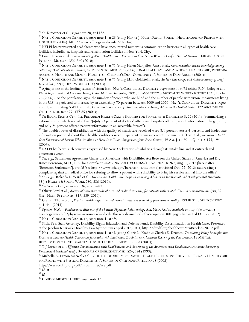<sup>25</sup> See Kirschner et al., supra note 20, at 1122.

<sup>26</sup> NAT'L COUNCIL ON DISABILITY, supra note 1, at 23 (citing HENRY J. KAISER FAMILY FOUND., HEALTHCARE FOR PEOPLE WITH DISABILITIES (2004), http://www.kff.org/medicaid/7202.cfm).

<sup>27</sup> NYLPI has represented deaf clients who have encountered numerous communication barriers in all types of health care facilities, including at hospitals and rehabilitation facilities in New York City.

 $^{28}$  Lisa I. Iezzoni et al., Communicating About Health Care: Observations from Person Who Are Deaf or Hard of Hearing, 140 ANNALS OF INTERNAL MEDICINE 356, 360 (2010).

<sup>29</sup> NAT'L COUNCIL ON DISABILITY, supra note 1, at 71 (citing Helen Margellos-Anast et al., Cardiovascular disease knowledge among culturally Deaf patients in Chicago, 42 PREVENTIVE MED. 235 (2006); SINAI HEALTH SYS. AND ADVOCATE HEALTH CARE, IMPROVING ACCESS TO HEALTH AND MENTAL HEALTH FOR CHICAGO'S DEAF COMMUNITY: A SURVEY OF DEAF ADULTS (2004)).

<sup>30</sup> NAT'L COUNCIL ON DISABILITY, supra note 1, at 71 (citing M.F. Goldstein, et al., An HIV Knowledge and Attitude Survey of Deaf U.S. Adults, 22(1) DEAF WORLDS 163 (2006)).

<sup>31</sup> Aging is one of the leading causes of vision loss. NAT'L COUNCIL ON DISABILITY, supra note 1, at 73 (citing R.N. Bailey et al., Visual Impairment and Eye Care Among Older Adults – Five States, 2005, 55 MORBIDITY & MORTALITY WEEKLY REPORT 1321, 1321– 26 (2006)). As the population ages, the number of people who are blind and the number of people with vision impairments living in the U.S. is projected to increase by an astonishing 70-percent between 2009 and 2020. NAT'L COUNCIL ON DISABILITY, supra note 1, at 73 (citing Nat'l Eye Inst., Causes and Prevalence of Visual Impairment Among Adults in the United States, 122 ARCHIVES OF OPHTHALMOLOGY 477, 477-85 (2004)).

 $^{32}$  See EQUAL RIGHTS CTR., ILL-PREPARED: HEALTH CARE'S BARRIERS FOR PEOPLE WITH DISABILITIES 3, 22 (2011) (summarizing a national study, which revealed that "[o]nly 23 percent of doctors' offices and hospitals offered patient information in large print, and only 24 percent offered patient information in an accessible format").

<sup>33</sup> The doubled rates of dissatisfaction with the quality of health care received were 8.1-percent versus 4-percent, and inadequate information provided about their health conditions were 11-percent versus 6-percent. Bonnie L. O'Day et al., Improving Health Care Experiences of Persons Who Are Blind or Have Low Vision: Suggestions from Focus Groups, 19 AM. J. OF MED. QUALITY 193, 194  $(2004).$ 

<sup>34</sup> NYLPI has heard such concerns expressed by New Yorkers with disabilities through its intake line and at outreach and education events.

<sup>35</sup> See, e.g., Settlement Agreement Under the Americans with Disabilities Act Between the United States of America and Dr. Bruce Berenson, M.D., P.A. for Complaint USAO No: 2011-VO-0468/DJ No. 202-18-267, Aug. 1, 2012 [hereinafter "Berenson Settlement"], available at http://www.ada.gov/berenson\_settle.htm (last visited Oct. 22, 2012) (addressing a complaint against a medical office for refusing to allow a patient with a disability to bring his service animal into the office).  $36$  See, e.g., Rolanda L. Ward et al., Uncovering Health Care Inequalities among Adults with Intellectual and Developmental Disabilities, 35(4) HEALTH & SOCIAL WORK 280, 286 (2010).

 $37$  See Ward et al., supra note 36, at 285-87.

 $^{38}$  Oliver Lord et al., Receipt of preventive medical care and medical screening for patients with mental illness: a comparative analysis, 32 GEN. HOSP. PSYCHIATRY 519, 539 (2010).

 $^{39}$  Graham Thornicroft, Physical health disparities and mental illness: the scandal of premature mortality, 199 BRIT. J. OF PSYCHIATRY 441, 441 (2011).

 $^{40}$  Opinion 10.01 - Fundamental Elements of the Patient-Physician Relationship, AM. MED. ASS'N, available at http://www.amaassn.org/ama/pub/physician-resources/medical-ethics/code-medical-ethics/opinion1001.page (last visited Oct. 22, 2012). <sup>41</sup> NAT'L COUNCIL ON DISABILITY, supra note 1, at 49.

<sup>42</sup> Silvia Yee, Staff Attorney, Disability Rights Education and Defense Fund, Disability Discrimination in Health Care, Presented at the Jacobus tenBroek Disability Law Symposium (April 2012), at 4, http://dredf.org/healthcare/tenBroek-4-20-12.pdf. <sup>43</sup> NAT'L COUNCIL ON DISABILITY, supra note 1, at 48 (citing Gloria L. Krahn & Charles E. Drumm, Translating Policy Principles into Practice to Improve Health Care Access for Adults with Intellectual Disabilities: A Research Review of the Past Decade, 13 MENTAL RETARDATION & DEVELOPMENTAL DISABILITIES RES. REVIEWS 160–68 (2007)).

<sup>44</sup> T. J Larsen et al., *Effective Communication with Deaf Patients and Awareness of the Americans with Disabilities Act Among Emergency* Personnel: A National Study, 34 ANNALS OF EMERGENCY MED. S24, S24 (1999).

<sup>45</sup> Michelle A. Larson McNeal et al., CTR. FOR DISABILITY ISSUES & THE HEALTH PROFESSIONS, PROVIDING PRIMARY HEALTH CARE FOR PEOPLE WITH PHYSICAL DISABILITIES: A SURVEY OF CALIFORNIA PHYSICIANS 8 (2002),

http://www.cdihp.org/pdf/ProvPrimeCare.pdf.

 $46$   $\hat{Id}$ . at 11.

 $^{47}$   $ld.$ 

<sup>48</sup> CODE OF MEDICAL ETHICS, supra note 13.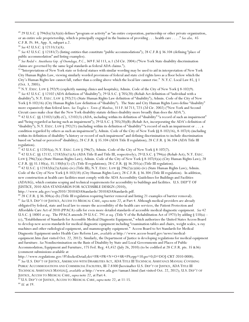<sup>49</sup> 29 U.S.C. § 794(b)(3)(A)(ii) defines "program or activity" as "an entire corporation, partnership or other private organization, or an entire sole proprietorship, which is principally engaged in the business of providing . . . health care . . . . " See also, 45 C.F.R. Pt. 84, App. A, subpart a.2.

 $50$  See 42 U.S.C. § 12131(1)(A).

<sup>51</sup> See 42 U.S.C. § 12181(7) (listing entities that constitute "public accommodations"); 28 C.F.R § 36.104 (defining "place of public accommodation" and listing examples).

<sup>52</sup> See Rodal v. Anesthesia Grp. of Onondaga, P.C., 369 F.3d 113, n.1 (2d Cir. 2004) ("New York State disability discrimination claims are governed by the same legal standards as federal ADA claims.").

53 "Interpretations of New York state or federal statues with similar wording may be used to aid in interpretation of New York City Human Rights Law, viewing similarly worded provisions of federal and state civil rights laws as a floor below which the City's Human Rights law cannot fall, rather than a ceiling above which the local law cannot rise." N.Y.C. Local Law 85, § 1  $(Oct. 3, 2005).$ 

<sup>54</sup> N.Y. EXEC. LAW § 292(9) (explicitly naming clinics and hospitals); Admin. Code of the City of New York § 8-102(9). <sup>55</sup> See 42 U.S.C. § 12102 (ADA definition of "disability"); 29 U.S.C. § 705(20) (Rehab Act definition of "individual with a disability"); N.Y. EXEC. LAW § 292(21) (State Human Rights Law definition of "disability"); Admin. Code of the City of New York § 8-102(16) (City Human Rights Law definition of "disability"). The State and City Human Rights Laws define "disability" more expansively than federal laws. See Treglia v. Town of Manlius, 313 F.3d 713, 723 (2d Cir. 2002) ("New York and Second Circuit cases make clear that the New York disability statute defines disability more broadly than does the ADA.").

56 42 U.S.C. §§ 12102(1)(B)-(C), 12102(3) (ADA, including within its definition of "disability" "a record of such an impairment" and "being regarded as having such an impairment"); 29 U.S.C. § 705(20)(B) (Rehab Act, incorporating the ADA's definition of "disability"); N.Y. EXEC. LAW § 292(21) (including within its definition of "disability" "a record of such an impairment or . . . a condition regarded by others as such an impairment"); Admin. Code of the City of New York §§ 8-102(16), 8-107(4) (including within its definition of disability "a history or record of such impairment" and defining discrimination to include discrimination based on "actual or perceived" disability); 28 C.F.R. § 35.104 (ADA Title II regulation); 28 C.F.R. § 36.104 (ADA Title III regulation).

 $^{57}$  42 U.S.C. § 12203(a); N.Y. EXEC. LAW § 296(7); Admin. Code of the City of New York § 8-107(7).

58 42 U.S.C. §§ 12132, 12182(b)(1)(A) (ADA Title II and Title III, respectively); 29 U.S.C. § 794(a) (Rehab Act); N.Y. EXEC. LAW § 296(2)(a) (State Human Rights Law); Admin. Code of the City of New York § 8-107(4)(a) (City Human Rights Law); 28 C.F.R.  $\S$ § 35.130(a), 35.130(b)(1)-(2) (Title II regulations); 28 C.F.R.  $\S$ § 36.201(a) (Title III regulation).

<sup>59</sup> 42 U.S.C. § 12182(b)(2)(A)(iii)-(iv) (Title III); N.Y. EXEC. LAW §§ 296(2)(c)(iii)-(iv) (State Human Rights Law); Admin. Code of the City of New York § 8-102(18) (City Human Rights Law); 28 C.F.R. § 36.304 (Title III regulation). In addition, new construction at health care facilities must comply with the ADA Accessibility Guidelines for Buildings and Facilities (ADAAG), which contains scoping and technical requirements for accessibility to buildings and facilities. U.S. DEP'T OF JUSTICE, 2010 ADA STANDARDS FOR ACCESSIBLE DESIGN (2010),

http://www.ada.gov/regs2010/2010ADAStandards/2010ADAStandards.pdf.

 $^{60}$  28 C.F.R. § 36.304(a)-(b) (Title III regulation requiring barrier removal and listing 21 examples of barrier removal). <sup>61</sup> See U.S. DEP'T OF JUSTICE, ACCESS TO MEDICAL CARE, supra note 22, at Part 4. Although medical providers are already obligated by federal, state and local law to ensure the accessibility of the health care services, the Patient Protection and Affordable Care Act of 2010 (PPACA) calls for even more detailed standards of accessible medical diagnostic equipment. See 42 U.S.C. § 18001 et seq. The PPACA amends 29 U.S.C. 791 et seq. (Title V of the Rehabilitation Act of 1973) by adding § 510(a) -(c), "Establishment of Standards for Accessible Medical Diagnostic Equipment," which authorizes the United States Access Board to develop new access standards for medical diagnostic equipment including "examination tables and chairs, weight scales, x-ray machines and other radiological equipment, and mammography equipment." Access Board to Set Standards for Medical Diagnostic Equipment under Health Care Reform Law, available at http://www.access-board.gov/news/medicalequipment.htm (last visited Oct. 22, 2012). Similarly, the Department of Justice is developing regulations for medical equipment and furniture. See Nondiscrimination on the Basis of Disability by State and Local Governments and Places of Public Accommodation; Equipment and Furniture, 175 Fed. Reg. 43,452 (July 26, 2010) (to be codified at 28 C.F.R. pts. 35 &36) (comment submissions available at

http://www.regulations.gov/#!docketDetail;dct=FR+PR+N+O+SR+PS;rpp=10;po=0;D=DOJ-CRT-2010-0008).  $^{62}$  See U.S. Dep't of Justice, Americans with Disabilities Act, ADA Title III Technical Assistance Manual Covering PUBLIC ACCOMMODATIONS AND COMMERCIAL FACILITIES, III-7.8300 [hereinafter U.S. DEP'T OF JUSTICE, ADA TITLE III

TECHNICAL ASSISTANCE MANUAL], available at http://www.ada.gov/taman3.html (last visited Oct. 22, 2012); U.S. DEP'T OF JUSTICE, ACCESS TO MEDICAL CARE, supra note 22, at Part 4.

<sup>63</sup> U.S. DEP'T OF JUSTICE, ACCESS TO MEDICAL CARE, supra note 22, at 11-15.

 $64$  *Id.* at 19.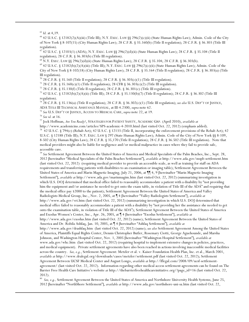$65$  *Id.* at 4,19.

<sup>66</sup> 42 U.S.C. § 12182(2)(A)(iii) (Title III); N.Y. EXEC. LAW §§ 296(2)(c)(ii) (State Human Rights Law); Admin. Code of the City of New York § 8-107(15) (City Human Rights Law); 28 C.F.R. § 35.160(b) (Title II regulation); 28 C.F.R. § 36.303 (Title III regulation).

 $^{67}$  42 U.S.C. § 12103(1) (ADA); N.Y. EXEC. LAW §§ 296(2)(d)(ii) (State Human Rights Law); 28 C.F.R. § 35.104 (Title II regulation); 28 C.F.R. § 36.303(b) (Title III regulation).

<sup>68</sup> N.Y. EXEC. LAW §§ 296(2)(d)(ii) (State Human Rights Law); 28 C.F.R. § 35.104; 28 C.F.R. § 36.303(b).

<sup>69</sup> 42 U.S.C. § 12182(b)(2)(A)(iii) (Title III); N.Y. EXEC. LAW §§ 296(2)(c)(ii) (State Human Rights Law); Admin. Code of the City of New York § 8-102(18) (City Human Rights Law); 28 C.F.R. § 35.164 (Title II regulation); 28 C.F.R. § 36.303(a) (Title III regulation).

<sup>70</sup> 28 C.F.R. § 35.160 (Title II regulation); 28 C.F.R. § 36.303(c)(1) (Title III regulation).

71 28 C.F.R. § 35.160(c)(1) (Title II regulation); 28 CFR § 36.303(c)(2) (Title III regulation).

 $^{72}$  28 C.F.R. § 35.130(f) (Title II regulation); 28 C.F.R. § 36.301(c) (Title III regulation).

73 42 U.S.C. § 12182(b)(2)(A)(ii) (Title III); 28 C.F.R. § 35.130(b)(7) (Title II regulation); 28 C.F.R. § 36.302 (Title III regulation).

<sup>74</sup> 28 C.F.R. § 35.136(a) (Title II regulation); 28 C.F.R. § 36.302(c)(1) (Title III regulation); see also U.S. DEP'T OF JUSTICE, ADA TITLE III TECHNICAL ASSISTANCE MANUAL, at III-4.2300, supra note 62.

<sup>75</sup> See U.S. DEP'T OF JUSTICE, ACCESS TO MEDICAL CARE, supra note 22, at 19.

 $^{76}$  See id. at 16.

77 Jock Hoffman, Are You Ready?, STRATEGIES FOR PATIENT SAFETY, ACADEMIC GRP. (April 2010), available at

http://www.academicins.com/articles/SPS-academic-4-2010.html (last visited Oct. 22, 2012) (emphasis added).

<sup>78</sup> 42 U.S.C. § 794(c) (Rehab Act); 42 U.S.C. § 12133 (Title II, incorporating the enforcement provisions of the Rehab Act); 42 U.S.C. § 12188 (Title III); N.Y. EXEC. LAW § 297 (State Human Rights Law); Admin. Code of the City of New York §§ 8-109, 8-502 (City Human Rights Law); 28 C.F.R. § 35,170 (Title II regulation); 28 C.F.R. § 36.502 (Title III regulation). Note that medical providers might also be liable for negligence and/or medical malpractice in cases where they fail to provide safe, accessible care.

79 See Settlement Agreement Between the United States of America and Medical Specialists of the Palm Beaches, Inc., Sept. 28, 2012 [hereinafter "Medical Specialists of the Palm Beaches Settlement"], available at http://www.ada.gov/mspb-settlement.htm (last visited Oct. 22, 2012) (requiring medical provider to provide an accessible scale, as well as training for staff on ADA requirements and transferring patients with disabilities to an examination or imaging table); Settlement Agreement Between the United States of America and Marin Magnetic Imaging, July 21, 2006, at ¶ 4, 9 [hereinafter "Marin Magnetic Imaging Settlement"], available at http://www.ada.gov/marinmagim.htm (last visited Oct. 22, 2012) (summarizing investigation in which U.S. DOJ determined that medical office failed to reasonably accommodate a patient with a disability by "not providing him the equipment and/or assistance he needed to get onto the exam table, in violation of Title III of the ADA" and requiring that the medical office pay \$2000 to the patient); Settlement Agreement Between the United States of America and Valley Radiologists Medical Group, Inc., Nov. 2, 2005, at [4] [hereinafter "Valley Radiologists Settlement"], available at http://www.ada.gov/vri.htm (last visited Oct. 22, 2012) (summarizing investigation in which U.S. DOJ determined that medical office failed to reasonably accommodate a patient with a disability by "not providing her the assistance she needed to get onto the examination table, in violation of Title III of the ADA"); Settlement Agreement Between the United States of America and Exodus Women's Center, Inc., Apr. 26, 2005, at 14 [hereinafter "Exodus Settlement"], available at http://www.ada.gov/exodus.htm (last visited Oct. 22, 2012) (same); Settlement Agreement Between the United States of America and Dr. Robila Ashfaq, Jan. 10, 2005, at 14 [hereinafter "Ashfaq Settlement"], available at http://www.ada.gov/drashfaq.htm (last visited Oct. 22, 2012) (same); see also Settlement Agreement Among the United States of America, Plaintiffs Equal Rights Center, Dennis Christopher Butler, Rosemary Ciotti, George Aguehounde, and Marsha Johnson, and Washington Hospital Center, Nov. 1, 2005 [hereinafter "Washington Hospital Settlement"], available at www.ada.gov/whc.htm (last visited Oct. 22, 2012) (requiring hospital to implement extensive changes in policies, practices, and medical equipment). Private settlement agreements have also been reached in actions involving inaccessible medical facilities across the country. See, e.g., Settlement Agreement: Metzler et al. v. Kaiser Foundation Health Plan, Inc. et al., March 2001, available at http://www.dralegal.org/downloads/cases/metzler/settlement.pdf (last visited Oct. 22, 2012); Settlement Agreement Between UCSF Medical Center and August Longo, available at http://lflegal.com/2008/09/ucsf-settlementagreement/ (last visited Oct. 22, 2012). Information regarding other medical access settlement agreements can be found on The Barrier Free Health Care Initiative's website at http://thebarrierfreehealthcareinitiative.org/?page\_id=16 (last visited Oct. 22,  $2012$ ).

<sup>80</sup> See, e.g., Settlement Agreement Between the United States of America and Northshore University Health Systems, June 25, 2012 [hereinafter "NorthShore Settlement"], available at http://www.ada.gov/northshore-uni-sa.htm (last visited Oct. 22,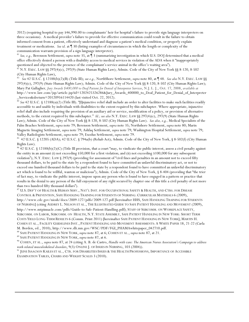2012) (requiring hospital to pay \$46,990.00 to complainants' heir for hospital's failure to provide sign language interpreters on three occasions). A medical provider's failure to provide for effective communication could result in the failure to obtain informed consent from a patient, effectively understand and diagnose a patient's medical condition, or properly explain treatment or medications. See id. at 1 30 (listing examples of circumstances in which the length or complexity of the communication warrants provision of a sign language interpreter).

<sup>81</sup> See, e.g., Berenson Settlement, supra note 35, at 13 (summarizing investigation in which U.S. DOJ determined that a medical office effectively denied a person with a disability access to medical services in violation of the ADA when it "inappropriately questioned and objected to the presence of the complainant's service animal in the office's waiting area").

 $82$  N.Y. EXEC. LAW §§ 297(4)(c), 297(9) (State Human Rights Law); Admin. Code of the City of New York §§ 8-120, 8-502 (City Human Rights Law),

<sup>83</sup> See 42 U.S.C. § 12188(b)(2)(B) (Title III); see e.g., NorthShore Settlement, supra note 80, at 148. See also N.Y. EXEC. LAW §§ 297(4)(c), 297(9) (State Human Rights Law); Admin. Code of the City of New York §§ 8-120, 8-502 (City Human Rights Law); Mary Pat Gallagher, Jury Awards \$400,000 to Deaf Patient for Denial of Interpreter Services, N.J. L. J., Oct. 17, 2008, available at http://www.law.com/jsp/article.jsp?id=1202425326286&Jury\_Awards\_400000\_to\_Deaf\_Patient\_for\_Denial\_of\_Interpreter Services&slreturn=20120916114420 (last visited Oct. 22, 2012).

<sup>84</sup> See 42 U.S.C. § 12188(a)(2) (Title III). "[I]njunctive relief shall include an order to alter facilities to make such facilities readily accessible to and usable by individuals with disabilities to the extent required by this subchapter. Where appropriate, injunctive relief shall also include requiring the provision of an auxiliary aid or service, modification of a policy, or provision of alternative methods, to the extent required by this subchapter." Id.; see also N.Y. EXEC. LAW §§ 297(4)(c), 297(9) (State Human Rights Law); Admin. Code of the City of New York §§ 8-120, 8-502 (City Human Rights Law). See also, e.g., Medical Specialists of the Palm Beaches Settlement, supra note 79; Berenson Settlement, supra note 35; Northshore Settlement, supra note 80; Marin Magnetic Imaging Settlement, supra note 79; Ashfaq Settlement, supra note 79; Washington Hospital Settlement, supra note 79; Valley Radiologists Settlement, supra note 79; Exodus Settlement, supra note 79.

85 42 U.S.C. § 12205 (ADA); 42 U.S.C. § 794a(b) (Rehab Act); Admin. Code of the City of New York, § 8-502(f) (City Human Rights Law).

<sup>86</sup> 42 U.S.C. § 12188(b)(2)(C) (Title III provision, that a court "may, to vindicate the public interest, assess a civil penalty against the entity in an amount (i) not exceeding \$50,000 for a first violation; and (ii) not exceeding \$100,000 for any subsequent violation"); N.Y. EXEC. LAW § 297(9) (providing for assessment of "civil fines and penalties in an amount not to exceed fifty thousand dollars, to be paid to the state by a respondent found to have committed an unlawful discriminatory act, or not to exceed one hundred thousand dollars to be paid to the state by a respondent found to have committed an unlawful discriminatory act which is found to be willful, wanton or malicious"); Admin. Code of the City of New York, § 8-404 (providing that "the trier of fact may, to vindicate the public interest, impose upon any person who is found to have engaged in a pattern or practice that results in the denial to any person of the full enjoyment of any right secured by chapter one of this title a civil penalty of not more than two hundred fifty thousand dollars").

<sup>87</sup> U.S. DEP'T OF HEALTH & HUMAN SERV., NAT'L INST. FOR OCCUPATIONAL SAFETY & HEALTH, AND CTRS. FOR DISEASE CONTROL & PREVENTION, SAFE HANDLING TRAINING FOR STUDENTS OF NURSING: CURRICULAR MATERIALS 6 (2009), http://www.cdc.gov/niosh/docs/2009-127/pdfs/2009-127.pdf [hereinafter HHS, SAFE HANDLING TRAINING FOR STUDENTS OF NURSING] (citing AUDREY L. NELSON ET AL., THE ILLUSTRATED GUIDE TO SAFE PATIENT HANDLING AND MOVEMENT (2009), http://www.mtpinnacle.com/pdfs/Guide-to-Safe-Patient-Handling.pdf); STAFF OF SUBCOMM. ON WORKPLACE SAFETY, SUBCOMM. ON LABOR, SUBCOMM. ON HEALTH, N.Y. STATE ASSEMBLY, SAFE PATIENT HANDLING IN NEW YORK: SHORT TERM COSTS YIELD LONG-TERM RESULTS 6 (Comm. Print 2011) [hereinafter SAFE PATIENT HANDLING IN NEW YORK]; MARTIN H. COHEN ET AL., FACILITY GUIDELINES INST., PATIENT HANDLING AND MOVEMENT ASSESSMENTS: A WHITE PAPER 18, 21-22 (Carla M. Borden, ed., 2010), http://www.dli.mn.gov/WSC/PDF/FGI\_PHAMAwhitepaper\_042710.pdf. <sup>88</sup> SAFE PATIENT HANDLING IN NEW YORK, *supra* note 87, at 6; COHEN ET AL., *supra* note 87, at 21.

<sup>89</sup> SAFE PATIENT HANDLING IN NEW YORK, supra note 87, at 6.

<sup>90</sup> COHEN, ET AL., supra note 87, at 24 (citing A. B. de Castro, Handle with care: The American Nurses Association's Campaign to address work-related musculoskeletal disorders, 9(3) ONLINE J. OF ISSUES IN NURSING, 103 (2004)).

91 JUNE ISAACSON KAILES ET AL., CTR. FOR DISABILITIES ISSUES & THE HEALTH PROFESSIONS, IMPORTANCE OF ACCESSIBLE EXAMINATION TABLES, CHAIRS AND WEIGHT SCALES 3 (2010).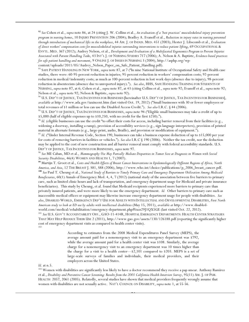<sup>92</sup> See Cohen et al., supra note 86, at 24 (citing J. W. Collins et al., An evaluation of a 'best practices' musculoskeletal injury prevention program in nursing homes, 10 INJURY PREVENTION 206 (2004); Bradley A. Evanoff et al., Reduction in injury rates in nursing personnel through introduction of mechanical lifts in the workplace, 44 AM. J. OF INDUS. MED. 451 (2003); Hester J. Libscomb et al., Evaluation of direct workers' compensation costs for musculoskeletal injuries surrounding interventions to reduce patient lifting, 69 OCCUPATIONAL & ENVTL. MED. 367 (2012); Audrey Nelson, et al., Development and Evaluation of a Multifaceted Ergonomics Program to Prevent Injuries Associated with Patient Handling Tasks, 43 INT'L J. OF NURSING STUDIES 717 (2006); A. Nelson & A. Baptiste, Evidence-based practices for safe patient handling and movement, 9 ONLINE J. OF ISSUES IN NURSING 3 (2004), http://asphp.org/wp-

content/uploads/2011/05/Audrey\_Nelson\_Paper\_on\_Safe\_Patient\_Handling.pdf).

<sup>93</sup> SAFE PATIENT HANDLING IN NEW YORK, *supra* note 87, at 7 ("In nine National Institute of Occupational Safety and Health case studies, there were: 60-95-percent reduction in injuries; 95-percent reduction in workers' compensation costs; 92-percent reduction in medical/indemnity costs; as much as 100-percent reduction in lost work days (absence due to injury); 98-percent reduction in absenteeism (absence due to unreported injury)."). See also, HHS, SAFE HANDLING TRAINING FOR STUDENTS OF NURSING, supra note 87, at 6; Cohen et al., supra note 87, at 43 (citing Collins et al., supra note 92; Evanoff et al., supra note 92; Nelson et al., supra note 92; Nelson & Baptiste, supra note 92).

<sup>94</sup> U.S. DEP'T OF JUSTICE, TAX INCENTIVES FOR BUSINESSES [hereinafter U.S. DEP'T OF JUSTICE, TAX INCENTIVES FOR BUSINESSES], available at http://www.ada.gov/taxincent.htm (last visited Oct. 19, 2012) ("Small businesses with 30 or fewer employees or total revenues of \$1 million or less can use the Disabled Access Credit."). See also I.R.C. § 44 (2006).

<sup>95</sup> U.S. DEP'T OF JUSTICE, TAX INCENTIVES FOR BUSINESSES, *supra* note 94 ("Eligible small businesses may take a credit of up to \$5,000 (half of eligible expenses up to \$10,250, with no credit for the first \$250).").

<sup>96</sup> Id. (eligible businesses can use the credit "to offset their costs for access, including barrier removal from their facilities (e.g., widening a doorway, installing a ramp), provision of accessibility services (e.g., sign language interpreters), provision of printed material in alternate formats (e.g., large-print, audio, Braille), and provision or modification of equipment.").

<sup>97</sup> Id. ("Under Internal Revenue Code, Section 190, businesses can take a business expense deduction of up to \$15,000 per year for costs of removing barriers in facilities or vehicles."). See also I.R.C § 190 (2006). Neither the tax credit, nor the deduction may be applied to the cost of new construction and all barrier removal must comply with federal accessibility standards. U.S. DEP'T OF JUSTICE, TAX INCENTIVES FOR BUSINESSES, supra note 97.

<sup>98</sup> See ME Caban, MD et al., Mammography Use May Partially Mediate Disparities in Tumor Size at Diagnosis in Women with Social Security Disabilities, 46(4) WOMEN AND HEALTH 1, 7 (2007).

<sup>99</sup> Martijn T. Groot et al., Costs and Health Effects of Breast Cancer Interventions in Epidemiologically Different Regions of Africa, North America, and Asia, 12 THE BREAST J. S81, S88 (2006), http://www.who.int/choice/publications/p\_2006\_breast\_cancer.pdf. <sup>100</sup> See Paul T. Cheung et al., National Study of Barriers to Timely Primary Care and Emergency Department Utilization Among Medicaid Beneficiaries, 60(1) Annals of Emergency Med. 4, 4, 7 (2012) (national study of the association between five barriers to primary care, such as limited clinic hours and lack of transportation, and emergency department usage for Medicaid and private insurance beneficiaries). This study by Cheung, et al. found that Medicaid recipients experienced more barriers to primary care than privately insured patients, and were more likely to use the emergency department. Id. Other barriers to primary care such as inaccessible medical offices or equipment may likewise increase emergency department usage for people with disabilities. See also, DISABLED WORLD, EMERGENCY DEP'T USE FOR ADULTS WITH INTELLECTUAL AND DEVELOPMENTAL DISABILITIES, First North American study to look at ED use by adults with intellectual disabilities (May 15, 2011), available at http://www.disabledworld.com/medical/rehabilitation/emergency-department.php#ixzz29J1QX5GE (last visited Oct. 22, 2012).

<sup>101</sup> See U.S. GOV'T ACCOUNTABILITY OFF., GAO-11-414R, HOSPITAL EMERGENCY DEPARTMENTS: HEALTH CENTER STRATEGIES THAT MAY HELP REDUCE THEIR USE 2 (2011), http://www.gao.gov/assets/130/126188.pdf (reporting the significantly higher cost of emergency department visits as compared to health center visits).

> According to estimates from the 2008 Medical Expenditures Panel Survey (MEPS), the average amount paid for a nonemergency visit to an emergency department was \$792, while the average amount paid for a health center visit was \$108. Similarly, the average charge for a nonemergency visit to an emergency department was 10 times higher than the charge for a visit to a health center—\$2,101 compared to \$203. MEPS is a set of large-scale surveys of families and individuals, their medical providers, and their employers across the United States.

 $Id$  at n 5

<sup>103</sup> Women with disabilities are significantly less likely to have a doctor recommend they receive a pap smear. Anthony Ramirez et al., Disability and Preventive Cancer Screening: Results from the 2001 California Health Interview Survey, 95(11) AM. J. OF PUB. HEALTH 2057, 2061 (2005). Relatedly, several studies have shown that medical providers frequently wrongly assume that women with disabilities are not sexually active. NAT'L COUNCIL ON DISABILITY, supra note 1, at 55-56.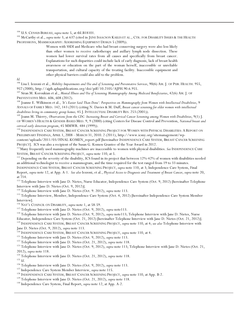<sup>104</sup> U.S. CENSUS BUREAU, *supra* note 5, at tbl.B18101.

<sup>105</sup> McCarthy et al., *supra* note 3, at 637 (cited in JUNE ISAACSON KAILES ET AL., CTR. FOR DISABILITY ISSUES & THE HEALTH PROFESSIONS, MAMMOGRAPHY: ADDRESSING EQUIPMENT DESIGN 5 (2009)).

> Women with SSDI and Medicare who had breast-conserving surgery were also less likely than other women to receive radiotherapy and axillary lymph node dissection. These women had lower survival rates from all causes and specifically from breast cancer. Explanations for such disparities could include lack of early diagnosis, lack of breast health awareness or education on the part of the woman herself, inaccessible or unreliable transportation, and cultural capacity of the treating facility. Inaccessible equipment and other physical barriers could also add to the problem.

```
Id.
```
<sup>106</sup> Lisa I. Iezzoni et al., *Mobility Impairments and Use and of Screening and Preventative Services*, 90(6) AM. J. OF PUB. HEALTH. 955, 957 (2000), http://ajph.aphapublications.org/doi/pdf/10.2105/AJPH.90.6.955.

<sup>107</sup> Siran M. Koroukian et al., *Mental Illness and Use of Screening Mammography Among Medicaid Beneficiaries*, 42(6) AM. J. OF PREVENTATIVE MED. 606, 608 (2012).

<sup>108</sup> Joanne E. Wilkinson et al., 'It's Easier Said Than Done': Perspectives on Mammography from Women with Intellectual Disabilities, 9 ANNALS OF FAMILY MED. 142, 143 (2011) (citing N. Davies & M. Duff, Breast cancer screening for older women with intellectual disabilities living in community group homes, 45 J. INTELLECTUAL DISABILITY RES. 253 (2001)).

<sup>109</sup> Joann M. Thierry, Observations from the CDC: Increasing Breast and Cervical Cancer Screening among Women with Disabilities, 9(1) J. OF WOMEN'S HEALTH & GENDER-BASED MED. 9, 9 (2000) (citing Centers for Disease Control and Prevention, National breast and cervical early detection program, 45 MMWR. 484 (1999)).

<sup>110</sup> INDEPENDENCE CARE SYSTEM, BREAST CANCER SCREENING PROJECT FOR WOMEN WITH PHYSICAL DISABILITIES: A REPORT ON PRELIMINARY FINDINGS, APRIL 1, 2008 - MARCH 31, 2010. 2 (2011), http://www.icsny.org/sitemanagement/wp-

content/uploads/2011/03/FINAL-KOMEN\_report.pdf [hereinafter INDEPENDENCE CARE SYSTEM, BREAST CANCER SCREENING PROJECT]. ICS was also a recipient of the Susan G. Komen Grantee of the Year Award in 2012.

<sup>111</sup>Many frequently used mammography machines are inaccessible to women with physical disabilities. See INDEPENDENCE CARE SYSTEM, BREAST CANCER SCREENING PROJECT, supra note 110, at 5.

<sup>112</sup> Depending on the severity of the disability, ICS found in its project that between 12%-42% of women with disabilities needed an additional technologist to receive a mammogram, and the time required for the test ranged from 19 to 33 minutes.

INDEPENDENCE CARE SYSTEM, BREAST CANCER SCREENING PROJECT, supra note 110, at 3; Independence Care System, Final Report, supra note 12, at App. A-1. See also Iezzoni, et al., Physical Access to Diagnosis and Treatment of Breast Cancer, supra note 20, at 714.

<sup>113</sup> Telephone Interview with Jane D. Nietes, Nurse Educator, Independence Care System (Oct. 9, 2012) [hereinafter Telephone Interview with Jane D. Nietes (Oct. 9, 2012)].

<sup>114</sup> Telephone Interview with Jane D. Nietes (Oct. 9. 2012), *supra* note 113.

<sup>115</sup> Telephone Interview, Member, Independence Care System (Oct. 4, 2012) [hereinafter Independence Care System Member Interview].

<sup>116</sup> NAT'L COUNCIL ON DISABILITY, supra note 1, at 58-59.

<sup>117</sup> Telephone Interview with Jane D. Nietes (Oct. 9, 2012), *supra* note113.

<sup>118</sup> Telephone Interview with Jane D. Nietes (Oct. 9, 2012), supra note113; Telephone Interview with Jane D. Nietes, Nurse Educator, Independence Care System (Oct. 21, 2012) [hereinafter Telephone Interview with Jane D. Nietes (Oct. 21, 2012)]. <sup>119</sup> INDEPENDENCE CARE SYSTEM, BREAST CANCER SCREENING PROJECT, supra note 110, at 4; see also Telephone Interview with Jane D. Nietes (Oct. 9, 2012), supra note 113.

<sup>120</sup> INDEPENDENCE CARE SYSTEM, BREAST CANCER SCREENING PROJECT, supra note 110, at 4.

 $^{121}$  Telephone Interview with Jane D. Nietes (Oct. 9, 2012), supra note 113.

<sup>122</sup> Telephone Interview with Jane D. Nietes (Oct. 21, 2012), supra note 118.

<sup>123</sup> Telephone Interview with Jane D. Nietes (Oct. 9, 2012), supra note 113; Telephone Interview with Jane D. Nietes (Oct. 21, 2012), *supra* note 118.

<sup>124</sup> Telephone Interview with Jane D. Nietes (Oct. 21, 2012), supra note 118.

 $125$  *Id.* 

<sup>126</sup> Telephone Interview with Jane D. Nietes (Oct. 9, 2012), supra note 113.

<sup>127</sup> Independence Care System Member Interview, supra note 115.

<sup>128</sup> INDEPENDENCE CARE SYSTEM, BREAST CANCER SCREENING PROJECT, supra note 110, at App. B-2.

<sup>129</sup> Telephone Interview with Jane D. Nietes (Oct. 21, 2012), supra note 118.

<sup>130</sup> Independence Care System, Final Report, *supra* note 12, at App. A-2.